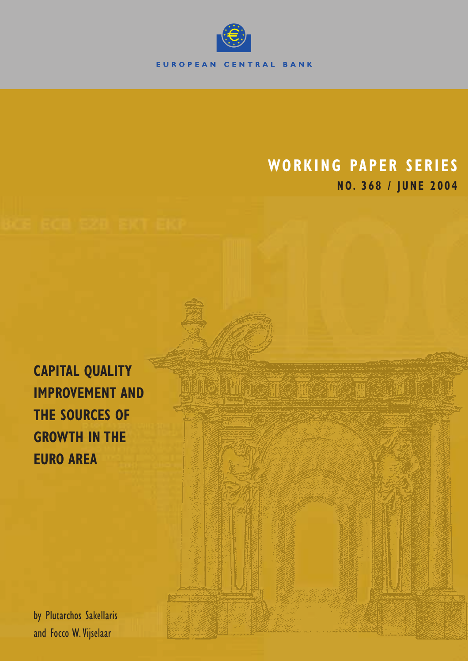

# **WORKING PAPER SERIES NO. 368 / JUNE 2004**

**CAPITAL QUALITY IMPROVEMENT AND THE SOURCES OF GROWTH IN THE EURO AREA**

by Plutarchos Sakellaris and Focco W.Vijselaar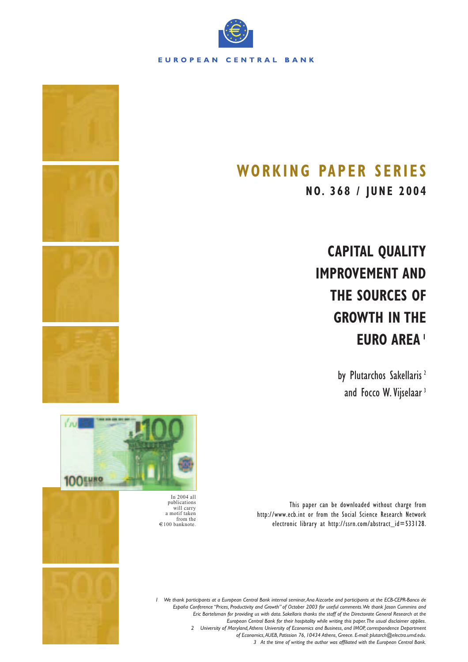

# **WORKING PAPER SERIES**

**NO. 368 / JUNE 2004**

**CAPITAL QUALITY IMPROVEMENT AND THE SOURCES OF GROWTH IN THE EURO AREA <sup>1</sup>**

> by Plutarchos Sakellaris<sup>2</sup> and Focco W. Vijselaar<sup>3</sup>



This paper can be downloaded without charge from http://www.ecb.int or from the Social Science Research Network electronic library at http://ssrn.com/abstract\_id=533128.

In 2004 all publications will carry a motif taken from the  $\epsilon$ 100 banknote.



*1 We thank participants at a European Central Bank internal seminar,Ana Aizcorbe and participants at the ECB-CEPR-Banco de España Conference "Prices, Productivity and Growth" of October 2003 for useful comments.We thank Jason Cummins and Eric Bartelsman for providing us with data. Sakellaris thanks the staff of the Directorate General Research at the European Central Bank for their hospitality while writing this paper.The usual disclaimer applies. 2 University of Maryland,Athens University of Economics and Business, and IMOP, correspondence Department of Economics,AUEB, Patission 76, 10434 Athens, Greece. E-mail: plutarch@electra.umd.edu. 3 At the time of writing the author was affiliated with the European Central Bank.*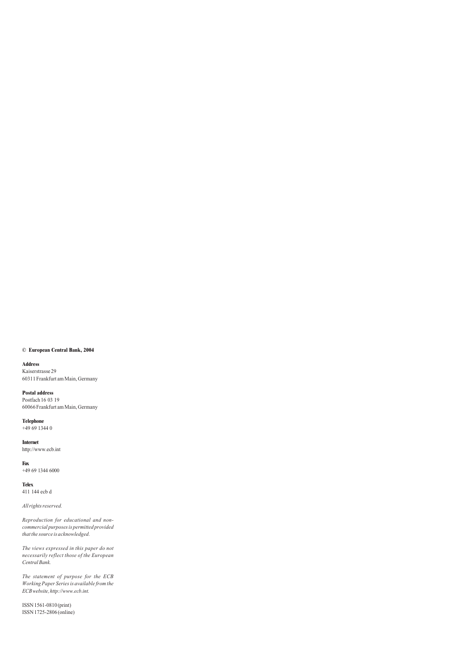#### **© European Central Bank, 2004**

**Address** Kaiserstrasse 29 60311 Frankfurt am Main, Germany

**Postal address** Postfach 16 03 19 60066 Frankfurt am Main, Germany

**Telephone** +49 69 1344 0

**Internet** http://www.ecb.int

**Fax**  $+496913446000$ 

**Telex** 411 144 ecb d

*All rights reserved.*

*Reproduction for educational and noncommercial purposes is permitted provided that the source is acknowledged.*

*The views expressed in this paper do not necessarily reflect those of the European Central Bank.*

*The statement of purpose for the ECB Working Paper Series is available from the ECB website, http://www.ecb.int.*

ISSN 1561-0810 (print) ISSN 1725-2806 (online)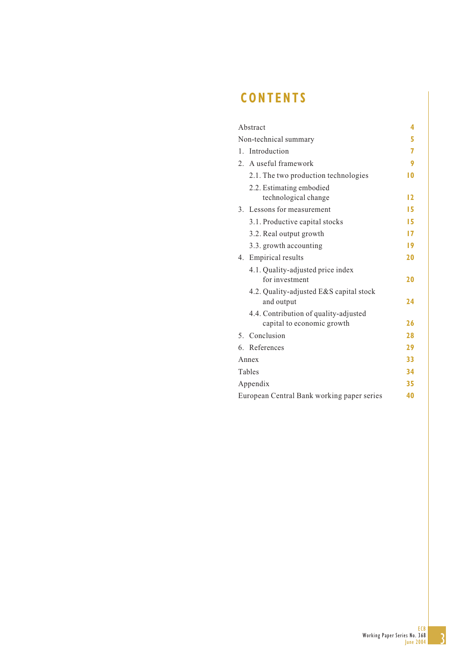# **CONTENTS**

| Abstract                                   | 4  |
|--------------------------------------------|----|
| Non-technical summary                      | 5  |
| Introduction<br>$1_{-}$                    | 7  |
| 2. A useful framework                      | 9  |
| 2.1. The two production technologies       | 10 |
| 2.2. Estimating embodied                   |    |
| technological change                       | 12 |
| 3. Lessons for measurement                 | 15 |
| 3.1. Productive capital stocks             | 15 |
| 3.2. Real output growth                    | 17 |
| 3.3. growth accounting                     | 19 |
| 4. Empirical results                       | 20 |
| 4.1. Quality-adjusted price index          |    |
| for investment                             | 20 |
| 4.2. Quality-adjusted E&S capital stock    |    |
| and output                                 | 24 |
| 4.4. Contribution of quality-adjusted      |    |
| capital to economic growth                 | 26 |
| Conclusion<br>5 <sub>1</sub>               | 28 |
| 6. References                              | 29 |
| Annex                                      | 33 |
| Tables                                     | 34 |
| Appendix                                   | 35 |
| European Central Bank working paper series | 40 |

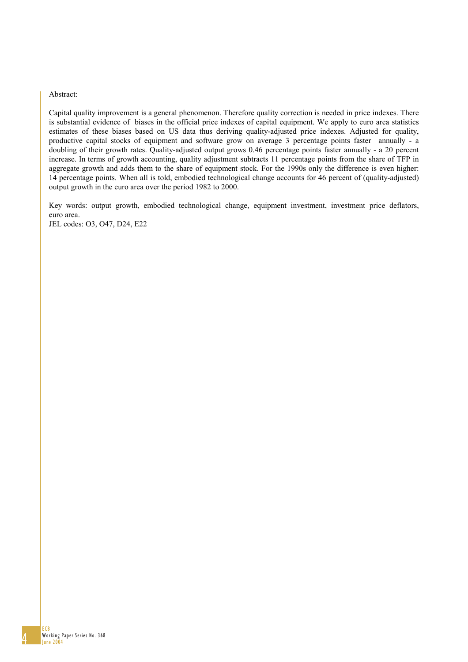#### Abstract:

Capital quality improvement is a general phenomenon. Therefore quality correction is needed in price indexes. There is substantial evidence of biases in the official price indexes of capital equipment. We apply to euro area statistics estimates of these biases based on US data thus deriving quality-adjusted price indexes. Adjusted for quality, productive capital stocks of equipment and software grow on average 3 percentage points faster annually - a doubling of their growth rates. Quality-adjusted output grows 0.46 percentage points faster annually - a 20 percent increase. In terms of growth accounting, quality adjustment subtracts 11 percentage points from the share of TFP in aggregate growth and adds them to the share of equipment stock. For the 1990s only the difference is even higher: 14 percentage points. When all is told, embodied technological change accounts for 46 percent of (quality-adjusted) output growth in the euro area over the period 1982 to 2000.

Key words: output growth, embodied technological change, equipment investment, investment price deflators, euro area. JEL codes: O3, O47, D24, E22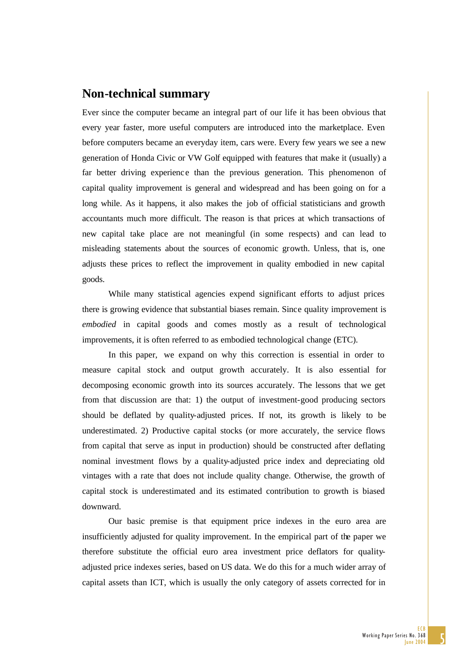# **Non-technical summary**

Ever since the computer became an integral part of our life it has been obvious that every year faster, more useful computers are introduced into the marketplace. Even before computers became an everyday item, cars were. Every few years we see a new generation of Honda Civic or VW Golf equipped with features that make it (usually) a far better driving experience than the previous generation. This phenomenon of capital quality improvement is general and widespread and has been going on for a long while. As it happens, it also makes the job of official statisticians and growth accountants much more difficult. The reason is that prices at which transactions of new capital take place are not meaningful (in some respects) and can lead to misleading statements about the sources of economic growth. Unless, that is, one adjusts these prices to reflect the improvement in quality embodied in new capital goods.

While many statistical agencies expend significant efforts to adjust prices there is growing evidence that substantial biases remain. Since quality improvement is *embodied* in capital goods and comes mostly as a result of technological improvements, it is often referred to as embodied technological change (ETC).

In this paper, we expand on why this correction is essential in order to measure capital stock and output growth accurately. It is also essential for decomposing economic growth into its sources accurately. The lessons that we get from that discussion are that: 1) the output of investment-good producing sectors should be deflated by quality-adjusted prices. If not, its growth is likely to be underestimated. 2) Productive capital stocks (or more accurately, the service flows from capital that serve as input in production) should be constructed after deflating nominal investment flows by a quality-adjusted price index and depreciating old vintages with a rate that does not include quality change. Otherwise, the growth of capital stock is underestimated and its estimated contribution to growth is biased downward.

Our basic premise is that equipment price indexes in the euro area are insufficiently adjusted for quality improvement. In the empirical part of the paper we therefore substitute the official euro area investment price deflators for qualityadjusted price indexes series, based on US data. We do this for a much wider array of capital assets than ICT, which is usually the only category of assets corrected for in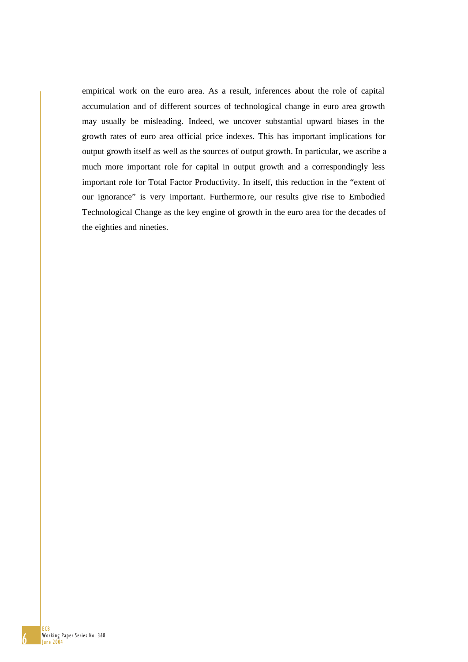empirical work on the euro area. As a result, inferences about the role of capital accumulation and of different sources of technological change in euro area growth may usually be misleading. Indeed, we uncover substantial upward biases in the growth rates of euro area official price indexes. This has important implications for output growth itself as well as the sources of output growth. In particular, we ascribe a much more important role for capital in output growth and a correspondingly less important role for Total Factor Productivity. In itself, this reduction in the "extent of our ignorance" is very important. Furthermore, our results give rise to Embodied Technological Change as the key engine of growth in the euro area for the decades of the eighties and nineties.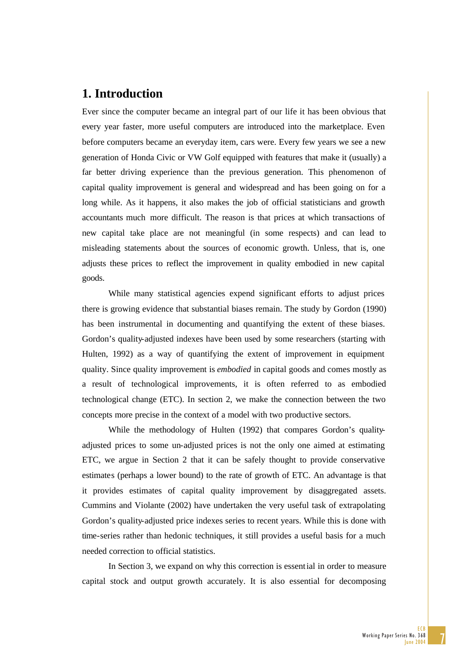# **1. Introduction**

Ever since the computer became an integral part of our life it has been obvious that every year faster, more useful computers are introduced into the marketplace. Even before computers became an everyday item, cars were. Every few years we see a new generation of Honda Civic or VW Golf equipped with features that make it (usually) a far better driving experience than the previous generation. This phenomenon of capital quality improvement is general and widespread and has been going on for a long while. As it happens, it also makes the job of official statisticians and growth accountants much more difficult. The reason is that prices at which transactions of new capital take place are not meaningful (in some respects) and can lead to misleading statements about the sources of economic growth. Unless, that is, one adjusts these prices to reflect the improvement in quality embodied in new capital goods.

While many statistical agencies expend significant efforts to adjust prices there is growing evidence that substantial biases remain. The study by Gordon (1990) has been instrumental in documenting and quantifying the extent of these biases. Gordon's quality-adjusted indexes have been used by some researchers (starting with Hulten, 1992) as a way of quantifying the extent of improvement in equipment quality. Since quality improvement is *embodied* in capital goods and comes mostly as a result of technological improvements, it is often referred to as embodied technological change (ETC). In section 2, we make the connection between the two concepts more precise in the context of a model with two productive sectors.

While the methodology of Hulten (1992) that compares Gordon's qualityadjusted prices to some un-adjusted prices is not the only one aimed at estimating ETC, we argue in Section 2 that it can be safely thought to provide conservative estimates (perhaps a lower bound) to the rate of growth of ETC. An advantage is that it provides estimates of capital quality improvement by disaggregated assets. Cummins and Violante (2002) have undertaken the very useful task of extrapolating Gordon's quality-adjusted price indexes series to recent years. While this is done with time-series rather than hedonic techniques, it still provides a useful basis for a much needed correction to official statistics.

In Section 3, we expand on why this correction is essential in order to measure capital stock and output growth accurately. It is also essential for decomposing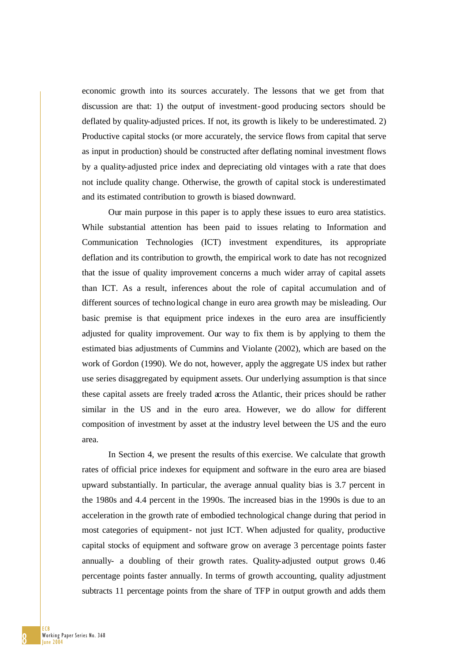economic growth into its sources accurately. The lessons that we get from that discussion are that: 1) the output of investment-good producing sectors should be deflated by quality-adjusted prices. If not, its growth is likely to be underestimated. 2) Productive capital stocks (or more accurately, the service flows from capital that serve as input in production) should be constructed after deflating nominal investment flows by a quality-adjusted price index and depreciating old vintages with a rate that does not include quality change. Otherwise, the growth of capital stock is underestimated and its estimated contribution to growth is biased downward.

Our main purpose in this paper is to apply these issues to euro area statistics. While substantial attention has been paid to issues relating to Information and Communication Technologies (ICT) investment expenditures, its appropriate deflation and its contribution to growth, the empirical work to date has not recognized that the issue of quality improvement concerns a much wider array of capital assets than ICT. As a result, inferences about the role of capital accumulation and of different sources of technological change in euro area growth may be misleading. Our basic premise is that equipment price indexes in the euro area are insufficiently adjusted for quality improvement. Our way to fix them is by applying to them the estimated bias adjustments of Cummins and Violante (2002), which are based on the work of Gordon (1990). We do not, however, apply the aggregate US index but rather use series disaggregated by equipment assets. Our underlying assumption is that since these capital assets are freely traded across the Atlantic, their prices should be rather similar in the US and in the euro area. However, we do allow for different composition of investment by asset at the industry level between the US and the euro area.

In Section 4, we present the results of this exercise. We calculate that growth rates of official price indexes for equipment and software in the euro area are biased upward substantially. In particular, the average annual quality bias is 3.7 percent in the 1980s and 4.4 percent in the 1990s. The increased bias in the 1990s is due to an acceleration in the growth rate of embodied technological change during that period in most categories of equipment- not just ICT. When adjusted for quality, productive capital stocks of equipment and software grow on average 3 percentage points faster annually- a doubling of their growth rates. Quality-adjusted output grows 0.46 percentage points faster annually. In terms of growth accounting, quality adjustment subtracts 11 percentage points from the share of TFP in output growth and adds them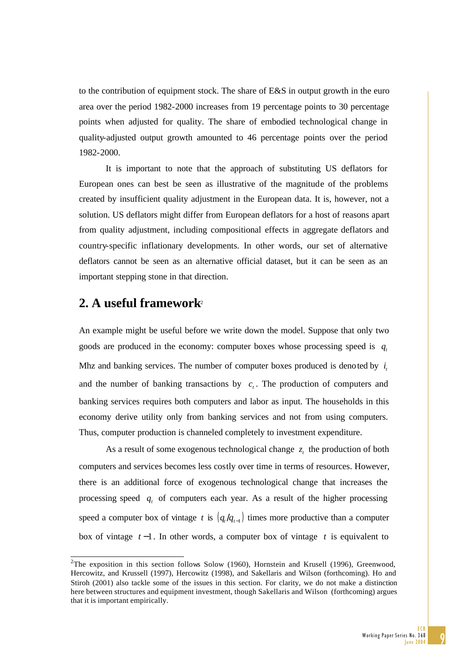to the contribution of equipment stock. The share of E&S in output growth in the euro area over the period 1982-2000 increases from 19 percentage points to 30 percentage points when adjusted for quality. The share of embodied technological change in quality-adjusted output growth amounted to 46 percentage points over the period 1982-2000.

It is important to note that the approach of substituting US deflators for European ones can best be seen as illustrative of the magnitude of the problems created by insufficient quality adjustment in the European data. It is, however, not a solution. US deflators might differ from European deflators for a host of reasons apart from quality adjustment, including compositional effects in aggregate deflators and country-specific inflationary developments. In other words, our set of alternative deflators cannot be seen as an alternative official dataset, but it can be seen as an important stepping stone in that direction.

# **2. A useful framework**<sup>2</sup>

1

An example might be useful before we write down the model. Suppose that only two goods are produced in the economy: computer boxes whose processing speed is  $q_t$ Mhz and banking services. The number of computer boxes produced is denoted by  $i<sub>i</sub>$ and the number of banking transactions by  $c<sub>r</sub>$ . The production of computers and banking services requires both computers and labor as input. The households in this economy derive utility only from banking services and not from using computers. Thus, computer production is channeled completely to investment expenditure.

As a result of some exogenous technological change  $z<sub>i</sub>$  the production of both computers and services becomes less costly over time in terms of resources. However, there is an additional force of exogenous technological change that increases the processing speed *q<sub>t</sub>* of computers each year. As a result of the higher processing speed a computer box of vintage *t* is  $\left( q_t / q_{t-1} \right)$  times more productive than a computer box of vintage *t* −1*.* In other words, a computer box of vintage *t* is equivalent to

<sup>&</sup>lt;sup>2</sup>The exposition in this section follows Solow (1960), Hornstein and Krusell (1996), Greenwood, Hercowitz, and Krussell (1997), Hercowitz (1998), and Sakellaris and Wilson (forthcoming). Ho and Stiroh (2001) also tackle some of the issues in this section. For clarity, we do not make a distinction here between structures and equipment investment, though Sakellaris and Wilson (forthcoming) argues that it is important empirically.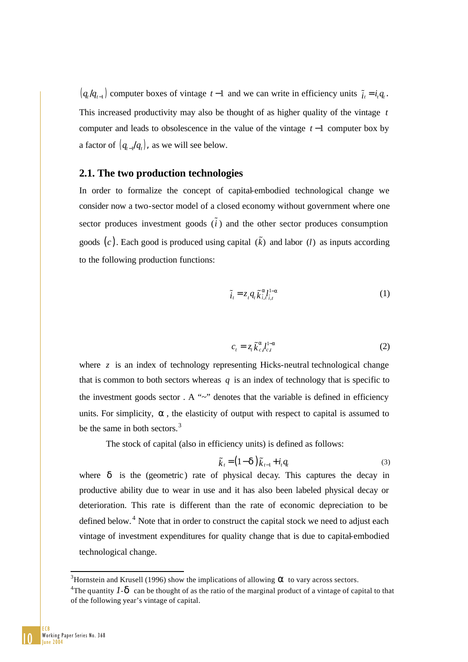$(q_t/q_{t-1})$  computer boxes of vintage  $t-1$  and we can write in efficiency units  $\tilde{i}_t = i_t q_t$ . This increased productivity may also be thought of as higher quality of the vintage *t* computer and leads to obsolescence in the value of the vintage *t* −1 computer box by a factor of  $(q_{t-1}/q_t)$ , as we will see below.

# **2.1. The two production technologies**

In order to formalize the concept of capital-embodied technological change we consider now a two-sector model of a closed economy without government where one sector produces investment goods  $(\tilde{i})$  and the other sector produces consumption goods  $(c)$ . Each good is produced using capital  $(\tilde{k})$  and labor  $(l)$  as inputs according to the following production functions:

$$
\tilde{i}_t = z_t q_t \tilde{k}_{\tilde{i},t}^{a} l_{\tilde{i},t}^{1-a}
$$
\n(1)

$$
c_t = z_t \tilde{k}_{c,t-c}^{a} l_{c,t}^{1-a} \tag{2}
$$

where *z* is an index of technology representing Hicks-neutral technological change that is common to both sectors whereas  $q$  is an index of technology that is specific to the investment goods sector  $A \sim$ " denotes that the variable is defined in efficiency units. For simplicity, *a* , the elasticity of output with respect to capital is assumed to be the same in both sectors.<sup>3</sup>

The stock of capital (also in efficiency units) is defined as follows:

$$
\widetilde{k}_t = (1 - \boldsymbol{d}) \widetilde{k}_{t-1} + i_t q_t \tag{3}
$$

where *d* is the (geometric) rate of physical decay. This captures the decay in productive ability due to wear in use and it has also been labeled physical decay or deterioration. This rate is different than the rate of economic depreciation to be defined below.<sup>4</sup> Note that in order to construct the capital stock we need to adjust each vintage of investment expenditures for quality change that is due to capital-embodied technological change.

<sup>&</sup>lt;sup>3</sup>Hornstein and Krusell (1996) show the implications of allowing **a** to vary across sectors.

<sup>&</sup>lt;sup>4</sup>The quantity  $I - d$  can be thought of as the ratio of the marginal product of a vintage of capital to that of the following year's vintage of capital.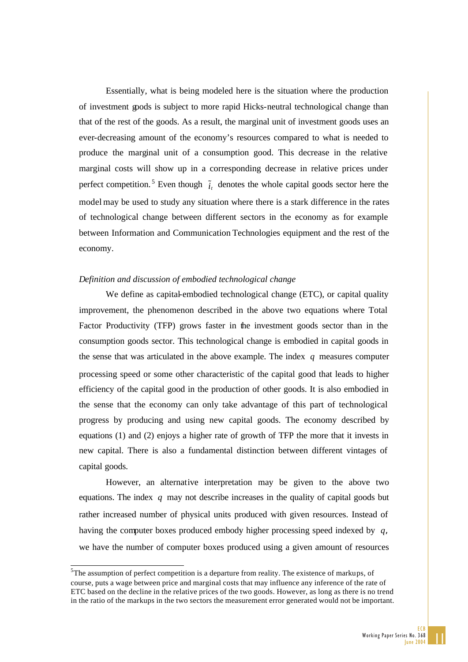Essentially, what is being modeled here is the situation where the production of investment goods is subject to more rapid Hicks-neutral technological change than that of the rest of the goods. As a result, the marginal unit of investment goods uses an ever-decreasing amount of the economy's resources compared to what is needed to produce the marginal unit of a consumption good. This decrease in the relative marginal costs will show up in a corresponding decrease in relative prices under perfect competition.<sup>5</sup> Even though  $\tilde{i}_t$  denotes the whole capital goods sector here the model may be used to study any situation where there is a stark difference in the rates of technological change between different sectors in the economy as for example between Information and Communication Technologies equipment and the rest of the economy.

### *Definition and discussion of embodied technological change*

We define as capital-embodied technological change (ETC), or capital quality improvement, the phenomenon described in the above two equations where Total Factor Productivity (TFP) grows faster in the investment goods sector than in the consumption goods sector. This technological change is embodied in capital goods in the sense that was articulated in the above example. The index *q* measures computer processing speed or some other characteristic of the capital good that leads to higher efficiency of the capital good in the production of other goods. It is also embodied in the sense that the economy can only take advantage of this part of technological progress by producing and using new capital goods. The economy described by equations (1) and (2) enjoys a higher rate of growth of TFP the more that it invests in new capital. There is also a fundamental distinction between different vintages of capital goods.

However, an alternative interpretation may be given to the above two equations. The index *q* may not describe increases in the quality of capital goods but rather increased number of physical units produced with given resources. Instead of having the computer boxes produced embody higher processing speed indexed by *q*, we have the number of computer boxes produced using a given amount of resources

 ${}^{5}$ The assumption of perfect competition is a departure from reality. The existence of markups, of course, puts a wage between price and marginal costs that may influence any inference of the rate of ETC based on the decline in the relative prices of the two goods. However, as long as there is no trend in the ratio of the markups in the two sectors the measurement error generated would not be important.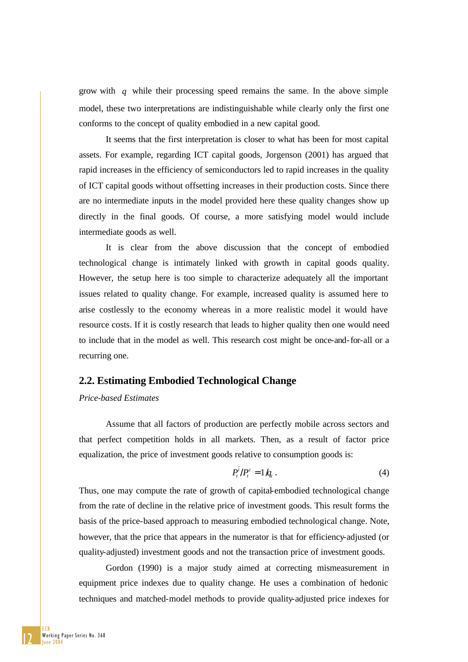grow with *q* while their processing speed remains the same. In the above simple model, these two interpretations are indistinguishable while clearly only the first one conforms to the concept of quality embodied in a new capital good.

It seems that the first interpretation is closer to what has been for most capital assets. For example, regarding ICT capital goods, Jorgenson (2001) has argued that rapid increases in the efficiency of semiconductors led to rapid increases in the quality of ICT capital goods without offsetting increases in their production costs. Since there are no intermediate inputs in the model provided here these quality changes show up directly in the final goods. Of course, a more satisfying model would include intermediate goods as well.

It is clear from the above discussion that the concept of embodied technological change is intimately linked with growth in capital goods quality. However, the setup here is too simple to characterize adequately all the important issues related to quality change. For example, increased quality is assumed here to arise costlessly to the economy whereas in a more realistic model it would have resource costs. If it is costly research that leads to higher quality then one would need to include that in the model as well. This research cost might be once-and-for-all or a recurring one.

### **2.2. Estimating Embodied Technological Change**

### *Price-based Estimates*

Assume that all factors of production are perfectly mobile across sectors and that perfect competition holds in all markets. Then, as a result of factor price equalization, the price of investment goods relative to consumption goods is:

$$
P_t^{\tilde{i}}/P_t^c = 1/q_t \,. \tag{4}
$$

Thus, one may compute the rate of growth of capital-embodied technological change from the rate of decline in the relative price of investment goods. This result forms the basis of the price-based approach to measuring embodied technological change. Note, however, that the price that appears in the numerator is that for efficiency-adjusted (or quality-adjusted) investment goods and not the transaction price of investment goods.

Gordon (1990) is a major study aimed at correcting mismeasurement in equipment price indexes due to quality change. He uses a combination of hedonic techniques and matched-model methods to provide quality-adjusted price indexes for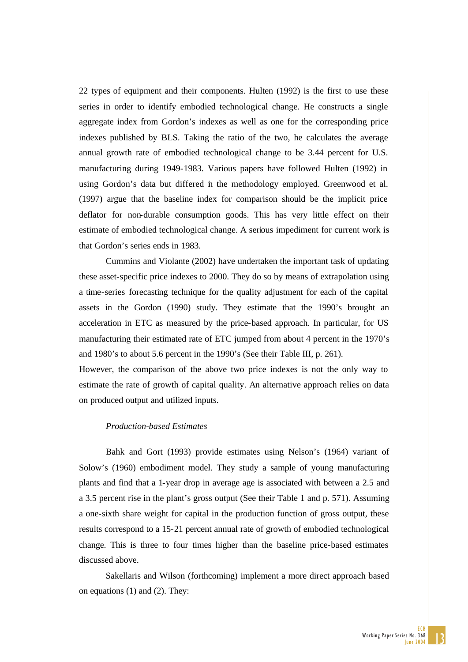22 types of equipment and their components. Hulten (1992) is the first to use these series in order to identify embodied technological change. He constructs a single aggregate index from Gordon's indexes as well as one for the corresponding price indexes published by BLS. Taking the ratio of the two, he calculates the average annual growth rate of embodied technological change to be 3.44 percent for U.S. manufacturing during 1949-1983. Various papers have followed Hulten (1992) in using Gordon's data but differed in the methodology employed. Greenwood et al. (1997) argue that the baseline index for comparison should be the implicit price deflator for non-durable consumption goods. This has very little effect on their estimate of embodied technological change. A serious impediment for current work is that Gordon's series ends in 1983.

Cummins and Violante (2002) have undertaken the important task of updating these asset-specific price indexes to 2000. They do so by means of extrapolation using a time-series forecasting technique for the quality adjustment for each of the capital assets in the Gordon (1990) study. They estimate that the 1990's brought an acceleration in ETC as measured by the price-based approach. In particular, for US manufacturing their estimated rate of ETC jumped from about 4 percent in the 1970's and 1980's to about 5.6 percent in the 1990's (See their Table III, p. 261).

However, the comparison of the above two price indexes is not the only way to estimate the rate of growth of capital quality. An alternative approach relies on data on produced output and utilized inputs.

## *Production-based Estimates*

Bahk and Gort (1993) provide estimates using Nelson's (1964) variant of Solow's (1960) embodiment model. They study a sample of young manufacturing plants and find that a 1-year drop in average age is associated with between a 2.5 and a 3.5 percent rise in the plant's gross output (See their Table 1 and p. 571). Assuming a one-sixth share weight for capital in the production function of gross output, these results correspond to a 15-21 percent annual rate of growth of embodied technological change. This is three to four times higher than the baseline price-based estimates discussed above.

Sakellaris and Wilson (forthcoming) implement a more direct approach based on equations (1) and (2). They: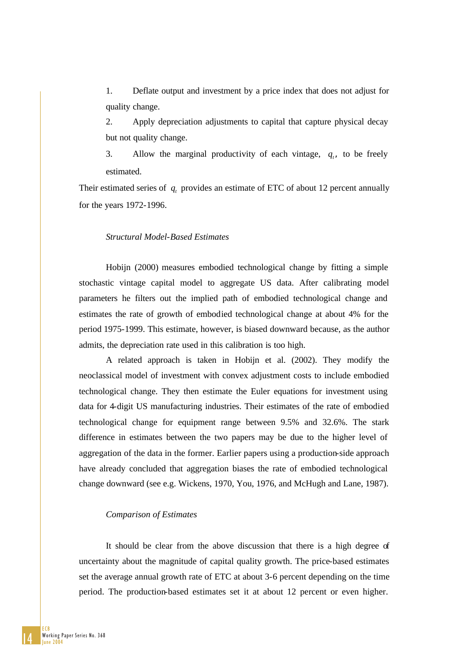1. Deflate output and investment by a price index that does not adjust for quality change.

2. Apply depreciation adjustments to capital that capture physical decay but not quality change.

3. Allow the marginal productivity of each vintage, q, to be freely estimated.

Their estimated series of  $q_t$  provides an estimate of ETC of about 12 percent annually for the years 1972-1996.

#### *Structural Model-Based Estimates*

Hobijn (2000) measures embodied technological change by fitting a simple stochastic vintage capital model to aggregate US data. After calibrating model parameters he filters out the implied path of embodied technological change and estimates the rate of growth of embodied technological change at about 4% for the period 1975-1999. This estimate, however, is biased downward because, as the author admits, the depreciation rate used in this calibration is too high.

A related approach is taken in Hobijn et al. (2002). They modify the neoclassical model of investment with convex adjustment costs to include embodied technological change. They then estimate the Euler equations for investment using data for 4-digit US manufacturing industries. Their estimates of the rate of embodied technological change for equipment range between 9.5% and 32.6%. The stark difference in estimates between the two papers may be due to the higher level of aggregation of the data in the former. Earlier papers using a production-side approach have already concluded that aggregation biases the rate of embodied technological change downward (see e.g. Wickens, 1970, You, 1976, and McHugh and Lane, 1987).

#### *Comparison of Estimates*

It should be clear from the above discussion that there is a high degree of uncertainty about the magnitude of capital quality growth. The price-based estimates set the average annual growth rate of ETC at about 3-6 percent depending on the time period. The production-based estimates set it at about 12 percent or even higher.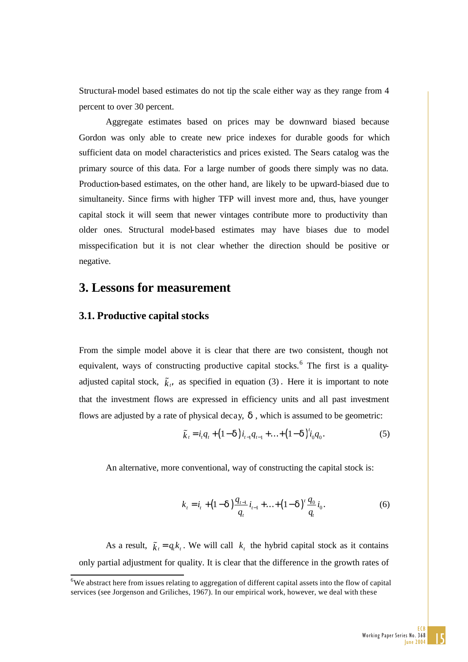Structural-model based estimates do not tip the scale either way as they range from 4 percent to over 30 percent.

Aggregate estimates based on prices may be downward biased because Gordon was only able to create new price indexes for durable goods for which sufficient data on model characteristics and prices existed. The Sears catalog was the primary source of this data. For a large number of goods there simply was no data. Production-based estimates, on the other hand, are likely to be upward-biased due to simultaneity. Since firms with higher TFP will invest more and, thus, have younger capital stock it will seem that newer vintages contribute more to productivity than older ones. Structural model-based estimates may have biases due to model misspecification but it is not clear whether the direction should be positive or negative.

# **3. Lessons for measurement**

## **3.1. Productive capital stocks**

1

From the simple model above it is clear that there are two consistent, though not equivalent, ways of constructing productive capital stocks.<sup>6</sup> The first is a qualityadjusted capital stock,  $\tilde{k}_t$ , as specified in equation (3). Here it is important to note that the investment flows are expressed in efficiency units and all past investment flows are adjusted by a rate of physical decay, *d* , which is assumed to be geometric:

$$
\tilde{k}_i = i_i q_i + (1 - \mathbf{d}) i_{i-1} q_{i-1} + \ldots + (1 - \mathbf{d}) i_0 q_0.
$$
\n(5)

An alternative, more conventional, way of constructing the capital stock is:

$$
k_{t} = i_{t} + (1 - \mathbf{d}) \frac{q_{t-1}}{q_{t}} i_{t-1} + \ldots + (1 - \mathbf{d})' \frac{q_{0}}{q_{t}} i_{0}.
$$
 (6)

As a result,  $\tilde{\chi}_t = q_t k_t$ . We will call  $k_t$  the hybrid capital stock as it contains only partial adjustment for quality. It is clear that the difference in the growth rates of

 $6W$ e abstract here from issues relating to aggregation of different capital assets into the flow of capital services (see Jorgenson and Griliches, 1967). In our empirical work, however, we deal with these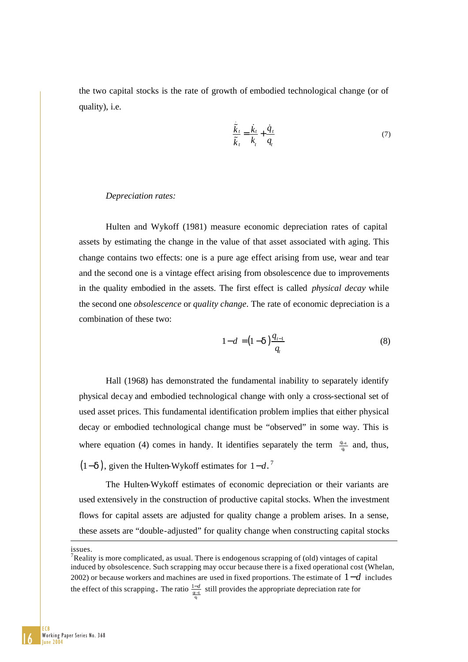the two capital stocks is the rate of growth of embodied technological change (or of quality), i.e.

$$
\frac{\tilde{k}_t}{\tilde{k}_t} = \frac{\dot{k}_t}{k_t} + \frac{\dot{q}_t}{q_t} \tag{7}
$$

#### *Depreciation rates:*

Hulten and Wykoff (1981) measure economic depreciation rates of capital assets by estimating the change in the value of that asset associated with aging. This change contains two effects: one is a pure age effect arising from use, wear and tear and the second one is a vintage effect arising from obsolescence due to improvements in the quality embodied in the assets. The first effect is called *physical decay* while the second one *obsolescence* or *quality change*. The rate of economic depreciation is a combination of these two:

$$
1 - d = (1 - d) \frac{q_{t-1}}{q_t}
$$
 (8)

Hall (1968) has demonstrated the fundamental inability to separately identify physical decay and embodied technological change with only a cross-sectional set of used asset prices. This fundamental identification problem implies that either physical decay or embodied technological change must be "observed" in some way. This is where equation (4) comes in handy. It identifies separately the term  $\frac{q_{t-1}}{q_t}$ *q*  $\frac{q_{t-1}}{q_t}$  and, thus,

 $(1-\mathbf{d})$ , given the Hulten-Wykoff estimates for  $1-\mathbf{d}$ .<sup>7</sup>

The Hulten-Wykoff estimates of economic depreciation or their variants are used extensively in the construction of productive capital stocks. When the investment flows for capital assets are adjusted for quality change a problem arises. In a sense, these assets are "double-adjusted" for quality change when constructing capital stocks

issues.

<sup>&</sup>lt;sup>7</sup>Reality is more complicated, as usual. There is endogenous scrapping of (old) vintages of capital induced by obsolescence. Such scrapping may occur because there is a fixed operational cost (Whelan, 2002) or because workers and machines are used in fixed proportions. The estimate of 1−*d* includes the effect of this scrapping. The ratio  $\frac{1-d}{\frac{q_t-1}{q_t}}$  $\frac{-d}{\sqrt{d}}$  still provides the appropriate depreciation rate for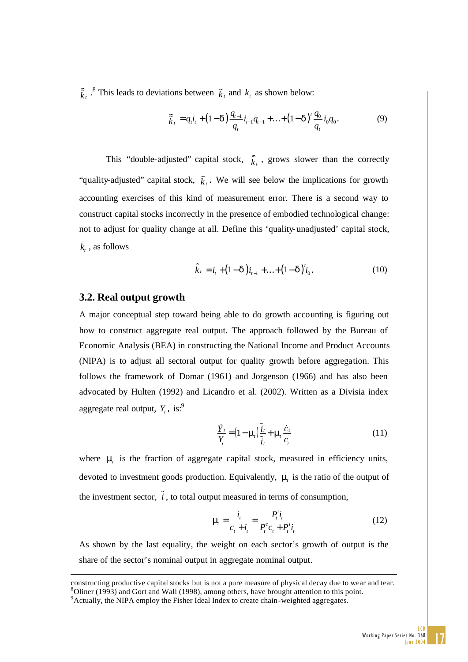$\tilde{k}_t$  <sup>8</sup>. This leads to deviations between  $\tilde{k}_t$  and  $k_t$  as shown below:

$$
\tilde{\tilde{k}}_t = q_t i_t + (1 - \mathbf{d}) \frac{q_{t-1}}{q_t} i_{t-1} q_{t-1} + \ldots + (1 - \mathbf{d})' \frac{q_0}{q_t} i_0 q_0.
$$
\n(9)

This "double-adjusted" capital stock,  $\tilde{k}_t$ , grows slower than the correctly "quality-adjusted" capital stock,  $\tilde{\mathbf{k}}_t$ . We will see below the implications for growth accounting exercises of this kind of measurement error. There is a second way to construct capital stocks incorrectly in the presence of embodied technological change: not to adjust for quality change at all. Define this 'quality-unadjusted' capital stock,  $\bar{k}_t$ , as follows

$$
\hat{k}_t = i_t + (1 - d)i_{t-1} + \dots + (1 - d)^{t}i_0.
$$
\n(10)

## **3.2. Real output growth**

A major conceptual step toward being able to do growth accounting is figuring out how to construct aggregate real output. The approach followed by the Bureau of Economic Analysis (BEA) in constructing the National Income and Product Accounts (NIPA) is to adjust all sectoral output for quality growth before aggregation. This follows the framework of Domar (1961) and Jorgenson (1966) and has also been advocated by Hulten (1992) and Licandro et al. (2002). Written as a Divisia index aggregate real output,  $Y_t$ , is:<sup>9</sup>

$$
\frac{\dot{Y}_t}{Y_t} = (1 - \mathbf{m}_t) \frac{\tilde{i}_t}{\tilde{i}_t} + \mathbf{m}_t \frac{\dot{c}_t}{c_t}
$$
\n(11)

where **m** is the fraction of aggregate capital stock, measured in efficiency units, devoted to investment goods production. Equivalently, **m** is the ratio of the output of the investment sector,  $\tilde{i}$ , to total output measured in terms of consumption,

$$
\mathbf{m} = \frac{i_i}{c_t + i_i} = \frac{P_i^i i_i}{P_i^c c_t + P_i^i i_i} \tag{12}
$$

As shown by the last equality, the weight on each sector's growth of output is the share of the sector's nominal output in aggregate nominal output.

constructing productive capital stocks but is not a pure measure of physical decay due to wear and tear.  ${}^{8}$ Oliner (1993) and Gort and Wall (1998), among others, have brought attention to this point. <sup>9</sup> Actually, the NIPA employ the Fisher Ideal Index to create chain-weighted aggregates.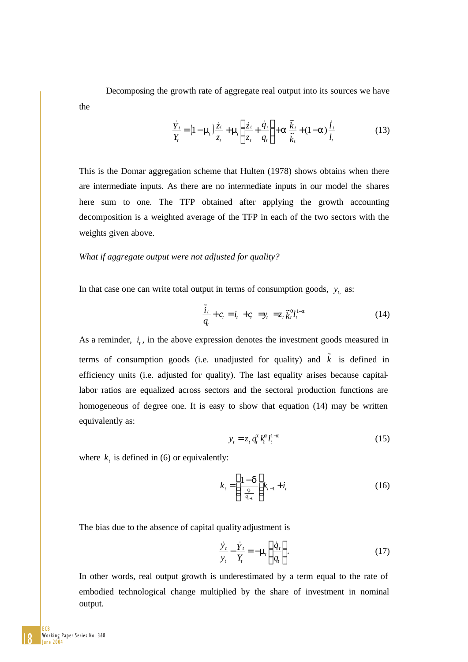Decomposing the growth rate of aggregate real output into its sources we have the

$$
\frac{\dot{Y}_t}{Y_t} = (1 - \mathbf{m}_t) \frac{\dot{z}_t}{z_t} + \mathbf{m}_t \left( \frac{\dot{z}_t}{z_t} + \frac{\dot{q}_t}{q_t} \right) + \mathbf{a} \frac{\tilde{k}_t}{\tilde{k}_t} + (1 - \mathbf{a}) \frac{\dot{l}_t}{l_t}
$$
(13)

This is the Domar aggregation scheme that Hulten (1978) shows obtains when there are intermediate inputs. As there are no intermediate inputs in our model the shares here sum to one. The TFP obtained after applying the growth accounting decomposition is a weighted average of the TFP in each of the two sectors with the weights given above.

### *What if aggregate output were not adjusted for quality?*

In that case one can write total output in terms of consumption goods,  $y_t$  as:

$$
\frac{\tilde{i}_t}{q_t} + c_t = i_t + c_t = y_t = z_t \tilde{k}_t^a t_t^{1-a}
$$
\n(14)

As a reminder, *i*, in the above expression denotes the investment goods measured in terms of consumption goods (i.e. unadjusted for quality) and  $\tilde{k}$  is defined in efficiency units (i.e. adjusted for quality). The last equality arises because capitallabor ratios are equalized across sectors and the sectoral production functions are homogeneous of degree one. It is easy to show that equation (14) may be written equivalently as:

$$
y_t = z_t q_t^a k_t^{a} l_t^{1-a}
$$
 (15)

where  $k_t$  is defined in (6) or equivalently:

$$
k_{t} = \left(\frac{1 - d}{\frac{q_{t}}{q_{t-1}}}\right)k_{t-1} + i_{t}
$$
 (16)

The bias due to the absence of capital quality adjustment is

$$
\frac{\dot{\mathbf{y}}_t}{\mathbf{y}_t} - \frac{\dot{\mathbf{Y}}_t}{\mathbf{Y}_t} = -\mathbf{m}_t \left(\frac{\dot{q}_t}{q_t}\right). \tag{17}
$$

In other words, real output growth is underestimated by a term equal to the rate of embodied technological change multiplied by the share of investment in nominal output.

18 ECB Working Paper Series No. 368 une 20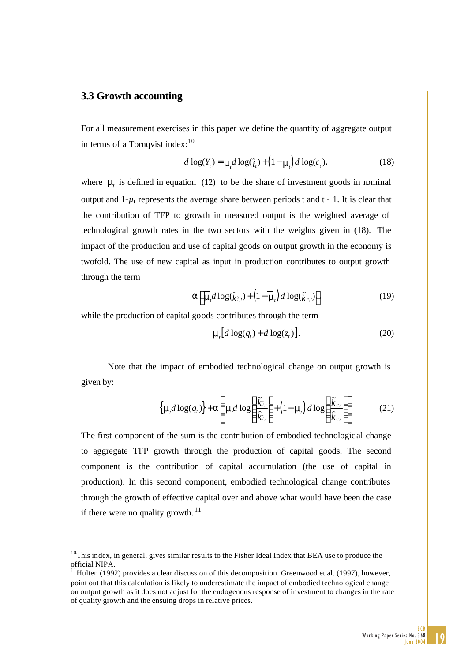# **3.3 Growth accounting**

1

For all measurement exercises in this paper we define the quantity of aggregate output in terms of a Tornqvist index:  $10$ 

$$
d \log(Y_t) = \overline{\mathbf{m}}_t d \log(\tilde{i}_t) + \left(1 - \overline{\mathbf{m}}_t\right) d \log(c_t),\tag{18}
$$

where  $\mathbf{m}$  is defined in equation (12) to be the share of investment goods in mominal output and  $1-\mu_t$  represents the average share between periods t and  $t - 1$ . It is clear that the contribution of TFP to growth in measured output is the weighted average of technological growth rates in the two sectors with the weights given in (18). The impact of the production and use of capital goods on output growth in the economy is twofold. The use of new capital as input in production contributes to output growth through the term

$$
\mathbf{a}\left[\overline{\mathbf{m}}_{i}d\log(\tilde{k}_{\tilde{i},t})+\left(1-\overline{\mathbf{m}}_{i}\right)d\log(\tilde{k}_{c,t})\right]
$$
 (19)

while the production of capital goods contributes through the term

$$
\overline{\mathbf{m}}_i \big[ d \log(q_t) + d \log(z_t) \big]. \tag{20}
$$

Note that the impact of embodied technological change on output growth is given by:

$$
\left\{ \overline{\mathbf{m}}_{i} d \log(q_{i}) \right\} + \mathbf{a} \left\{ \frac{\overline{\mathbf{m}}_{i}}{\mathbf{m}}_{i} d \log \left( \frac{\overline{\tilde{k}}_{i,t}}{\hat{k}_{i,t}} \right) + \left( 1 - \overline{\mathbf{m}}_{i} \right) d \log \left( \frac{\overline{\tilde{k}}_{c,t}}{\hat{k}_{c,t}} \right) \right\}
$$
(21)

The first component of the sum is the contribution of embodied technologic al change to aggregate TFP growth through the production of capital goods. The second component is the contribution of capital accumulation (the use of capital in production). In this second component, embodied technological change contributes through the growth of effective capital over and above what would have been the case if there were no quality growth.  $^{11}$ 

 $10$ This index, in general, gives similar results to the Fisher Ideal Index that BEA use to produce the official NIPA.

 $11$ Hulten (1992) provides a clear discussion of this decomposition. Greenwood et al. (1997), however, point out that this calculation is likely to underestimate the impact of embodied technological change on output growth as it does not adjust for the endogenous response of investment to changes in the rate of quality growth and the ensuing drops in relative prices.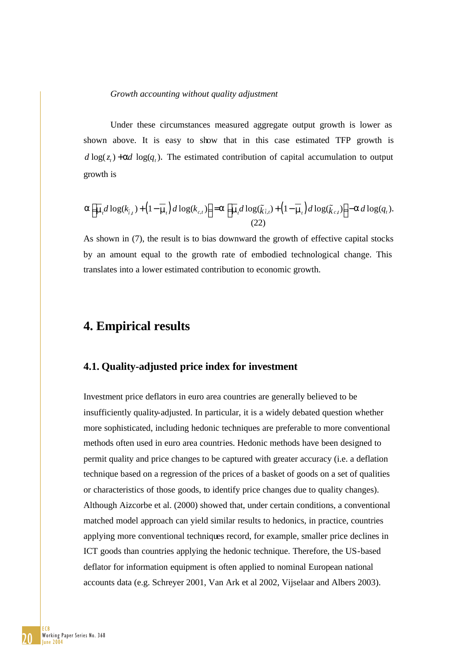#### *Growth accounting without quality adjustment*

Under these circumstances measured aggregate output growth is lower as shown above. It is easy to show that in this case estimated TFP growth is  $d \log(z) + ad \log(q)$ . The estimated contribution of capital accumulation to output growth is

$$
\mathbf{a}\Big[\overline{\mathbf{m}}_t d\log(k_{\tilde{i},t}) + \Big(1 - \overline{\mathbf{m}}_t\Big) d\log(k_{c,t})\Big] = \mathbf{a}\Big[\overline{\mathbf{m}}_t d\log(\tilde{k}_{\tilde{i},t}) + \Big(1 - \overline{\mathbf{m}}_t\Big) d\log(\tilde{k}_{c,t})\Big] - \mathbf{a} d\log(q_t).
$$
\n(22)

As shown in (7), the result is to bias downward the growth of effective capital stocks by an amount equal to the growth rate of embodied technological change. This translates into a lower estimated contribution to economic growth.

# **4. Empirical results**

## **4.1. Quality-adjusted price index for investment**

Investment price deflators in euro area countries are generally believed to be insufficiently quality-adjusted. In particular, it is a widely debated question whether more sophisticated, including hedonic techniques are preferable to more conventional methods often used in euro area countries. Hedonic methods have been designed to permit quality and price changes to be captured with greater accuracy (i.e. a deflation technique based on a regression of the prices of a basket of goods on a set of qualities or characteristics of those goods, to identify price changes due to quality changes). Although Aizcorbe et al. (2000) showed that, under certain conditions, a conventional matched model approach can yield similar results to hedonics, in practice, countries applying more conventional techniques record, for example, smaller price declines in ICT goods than countries applying the hedonic technique. Therefore, the US-based deflator for information equipment is often applied to nominal European national accounts data (e.g. Schreyer 2001, Van Ark et al 2002, Vijselaar and Albers 2003).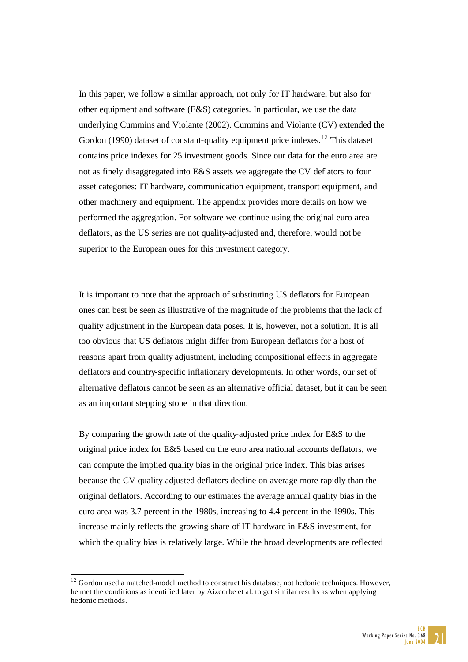In this paper, we follow a similar approach, not only for IT hardware, but also for other equipment and software (E&S) categories. In particular, we use the data underlying Cummins and Violante (2002). Cummins and Violante (CV) extended the Gordon (1990) dataset of constant-quality equipment price indexes.<sup>12</sup> This dataset contains price indexes for 25 investment goods. Since our data for the euro area are not as finely disaggregated into E&S assets we aggregate the CV deflators to four asset categories: IT hardware, communication equipment, transport equipment, and other machinery and equipment. The appendix provides more details on how we performed the aggregation. For software we continue using the original euro area deflators, as the US series are not quality-adjusted and, therefore, would not be superior to the European ones for this investment category.

It is important to note that the approach of substituting US deflators for European ones can best be seen as illustrative of the magnitude of the problems that the lack of quality adjustment in the European data poses. It is, however, not a solution. It is all too obvious that US deflators might differ from European deflators for a host of reasons apart from quality adjustment, including compositional effects in aggregate deflators and country-specific inflationary developments. In other words, our set of alternative deflators cannot be seen as an alternative official dataset, but it can be seen as an important stepping stone in that direction.

By comparing the growth rate of the quality-adjusted price index for E&S to the original price index for E&S based on the euro area national accounts deflators, we can compute the implied quality bias in the original price index. This bias arises because the CV quality-adjusted deflators decline on average more rapidly than the original deflators. According to our estimates the average annual quality bias in the euro area was 3.7 percent in the 1980s, increasing to 4.4 percent in the 1990s. This increase mainly reflects the growing share of IT hardware in E&S investment, for which the quality bias is relatively large. While the broad developments are reflected

 $12$  Gordon used a matched-model method to construct his database, not hedonic techniques. However, he met the conditions as identified later by Aizcorbe et al. to get similar results as when applying hedonic methods.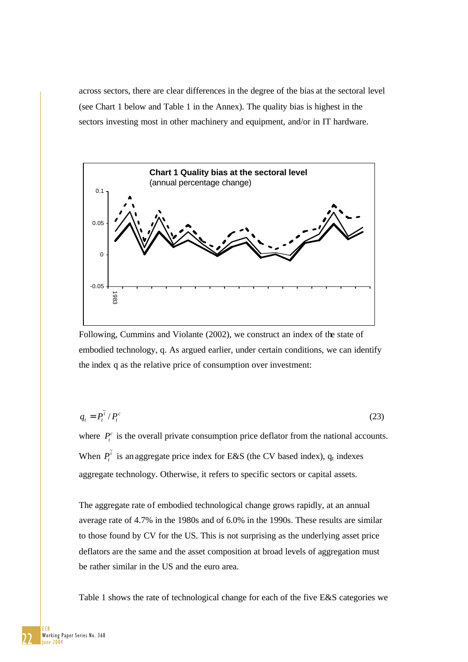across sectors, there are clear differences in the degree of the bias at the sectoral level (see Chart 1 below and Table 1 in the Annex). The quality bias is highest in the sectors investing most in other machinery and equipment, and/or in IT hardware.



Following, Cummins and Violante (2002), we construct an index of the state of embodied technology, q. As argued earlier, under certain conditions, we can identify the index q as the relative price of consumption over investment:

$$
q_t = P_t^{\tilde{i}} / P_t^c \tag{23}
$$

where  $P_t^c$  is the overall private consumption price deflator from the national accounts. When  $P_t^{\tilde{i}}$  is an aggregate price index for E&S (the CV based index),  $q_t$  indexes aggregate technology. Otherwise, it refers to specific sectors or capital assets.

The aggregate rate of embodied technological change grows rapidly, at an annual average rate of 4.7% in the 1980s and of 6.0% in the 1990s. These results are similar to those found by CV for the US. This is not surprising as the underlying asset price deflators are the same and the asset composition at broad levels of aggregation must be rather similar in the US and the euro area.

Table 1 shows the rate of technological change for each of the five E&S categories we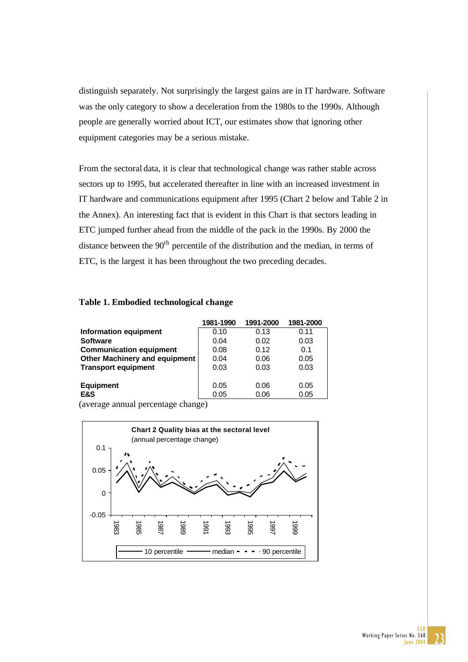distinguish separately. Not surprisingly the largest gains are in IT hardware. Software was the only category to show a deceleration from the 1980s to the 1990s. Although people are generally worried about ICT, our estimates show that ignoring other equipment categories may be a serious mistake.

From the sectoral data, it is clear that technological change was rather stable across sectors up to 1995, but accelerated thereafter in line with an increased investment in IT hardware and communications equipment after 1995 (Chart 2 below and Table 2 in the Annex). An interesting fact that is evident in this Chart is that sectors leading in ETC jumped further ahead from the middle of the pack in the 1990s. By 2000 the distance between the  $90<sup>th</sup>$  percentile of the distribution and the median, in terms of ETC, is the largest it has been throughout the two preceding decades.

#### **Table 1. Embodied technological change**

|                                      | 1981-1990 | 1991-2000 | 1981-2000 |
|--------------------------------------|-----------|-----------|-----------|
| Information equipment                | 0.10      | 0.13      | 0.11      |
| <b>Software</b>                      | 0.04      | 0.02      | 0.03      |
| <b>Communication equipment</b>       | 0.08      | 0.12      | 0.1       |
| <b>Other Machinery and equipment</b> | 0.04      | 0.06      | 0.05      |
| <b>Transport equipment</b>           | 0.03      | 0.03      | 0.03      |
|                                      |           |           |           |
| <b>Equipment</b>                     | 0.05      | 0.06      | 0.05      |
| E&S                                  | 0.05      | 0.06      | 0.05      |

(average annual percentage change)

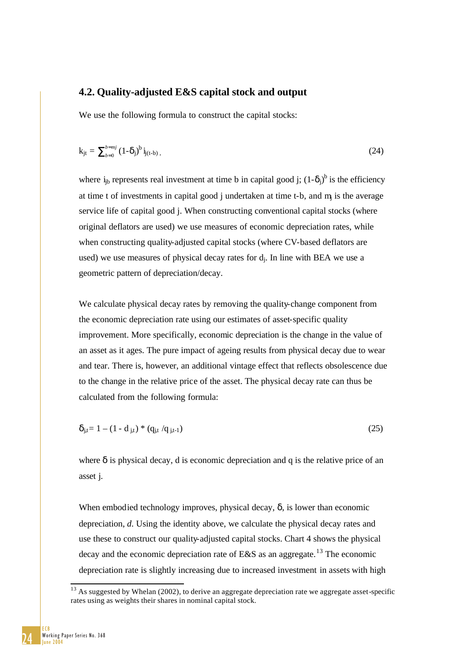# **4.2. Quality-adjusted E&S capital stock and output**

We use the following formula to construct the capital stocks:

$$
k_{jt} = \sum_{b=0}^{b=mj} (1-\delta_j)^b i_{j(t-b)}, \qquad (24)
$$

where  $i_{jb}$  represents real investment at time b in capital good j;  $(1-\delta_j)^b$  is the efficiency at time t of investments in capital good  $\mathbf{j}$  undertaken at time t-b, and  $\mathbf{m}$  is the average service life of capital good j. When constructing conventional capital stocks (where original deflators are used) we use measures of economic depreciation rates, while when constructing quality-adjusted capital stocks (where CV-based deflators are used) we use measures of physical decay rates for dj. In line with BEA we use a geometric pattern of depreciation/decay.

We calculate physical decay rates by removing the quality-change component from the economic depreciation rate using our estimates of asset-specific quality improvement. More specifically, economic depreciation is the change in the value of an asset as it ages. The pure impact of ageing results from physical decay due to wear and tear. There is, however, an additional vintage effect that reflects obsolescence due to the change in the relative price of the asset. The physical decay rate can thus be calculated from the following formula:

$$
\delta_{j,t} = 1 - (1 - d_{j,t}) * (q_{j,t}/q_{j,t-1})
$$
\n(25)

where  $\delta$  is physical decay, d is economic depreciation and q is the relative price of an asset j.

When embodied technology improves, physical decay,  $\delta$ , is lower than economic depreciation, *d*. Using the identity above, we calculate the physical decay rates and use these to construct our quality-adjusted capital stocks. Chart 4 shows the physical decay and the economic depreciation rate of E&S as an aggregate.<sup>13</sup> The economic depreciation rate is slightly increasing due to increased investment in assets with high

 $13$  As suggested by Whelan (2002), to derive an aggregate depreciation rate we aggregate asset-specific rates using as weights their shares in nominal capital stock.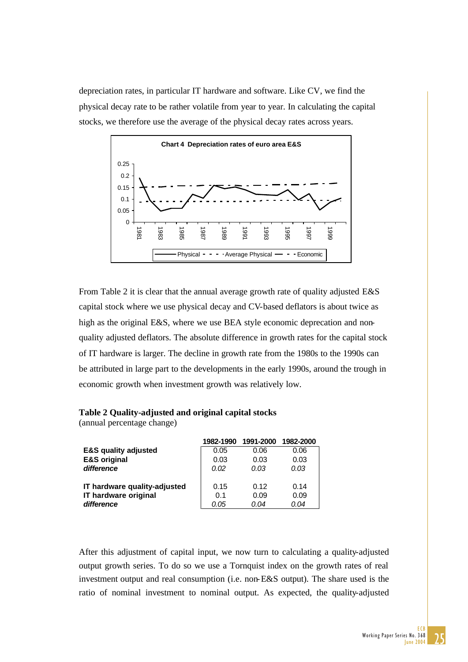depreciation rates, in particular IT hardware and software. Like CV, we find the physical decay rate to be rather volatile from year to year. In calculating the capital stocks, we therefore use the average of the physical decay rates across years.



From Table 2 it is clear that the annual average growth rate of quality adjusted E&S capital stock where we use physical decay and CV-based deflators is about twice as high as the original E&S, where we use BEA style economic deprecation and nonquality adjusted deflators. The absolute difference in growth rates for the capital stock of IT hardware is larger. The decline in growth rate from the 1980s to the 1990s can be attributed in large part to the developments in the early 1990s, around the trough in economic growth when investment growth was relatively low.

| Table 2 Quality-adjusted and original capital stocks |  |  |
|------------------------------------------------------|--|--|
| (annual percentage change)                           |  |  |

|                                 | 1982-1990 | 1991-2000 | 1982-2000 |
|---------------------------------|-----------|-----------|-----------|
| <b>E&amp;S quality adjusted</b> | 0.05      | 0.06      | 0.06      |
| <b>E&amp;S original</b>         | 0.03      | 0.03      | 0.03      |
| difference                      | 0.02      | 0.03      | 0.03      |
| IT hardware quality-adjusted    | 0.15      | 0.12      | 0.14      |
| IT hardware original            | 0.1       | 0.09      | 0.09      |
| difference                      | 0.05      | 0.04      | 0.04      |

After this adjustment of capital input, we now turn to calculating a quality-adjusted output growth series. To do so we use a Tornquist index on the growth rates of real investment output and real consumption (i.e. non-E&S output). The share used is the ratio of nominal investment to nominal output. As expected, the quality-adjusted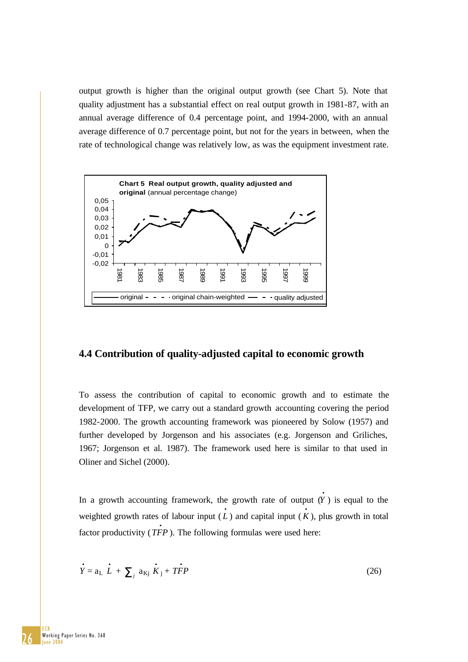output growth is higher than the original output growth (see Chart 5). Note that quality adjustment has a substantial effect on real output growth in 1981-87, with an annual average difference of 0.4 percentage point, and 1994-2000, with an annual average difference of 0.7 percentage point, but not for the years in between, when the rate of technological change was relatively low, as was the equipment investment rate.



# **4.4 Contribution of quality-adjusted capital to economic growth**

To assess the contribution of capital to economic growth and to estimate the development of TFP, we carry out a standard growth accounting covering the period 1982-2000. The growth accounting framework was pioneered by Solow (1957) and further developed by Jorgenson and his associates (e.g. Jorgenson and Griliches, 1967; Jorgenson et al. 1987). The framework used here is similar to that used in Oliner and Sichel (2000).

In a growth accounting framework, the growth rate of output  $(Y)$  is equal to the weighted growth rates of labour input  $(L)$  and capital input  $(K)$ , plus growth in total factor productivity  $(TFP)$ . The following formulas were used here:

$$
\dot{Y} = a_L \dot{L} + \sum_j a_{Kj} \dot{K}_j + T\dot{F}P
$$
 (26)

26 ECB Working Paper Series No. 368  $l$ une 20 $\bar{l}$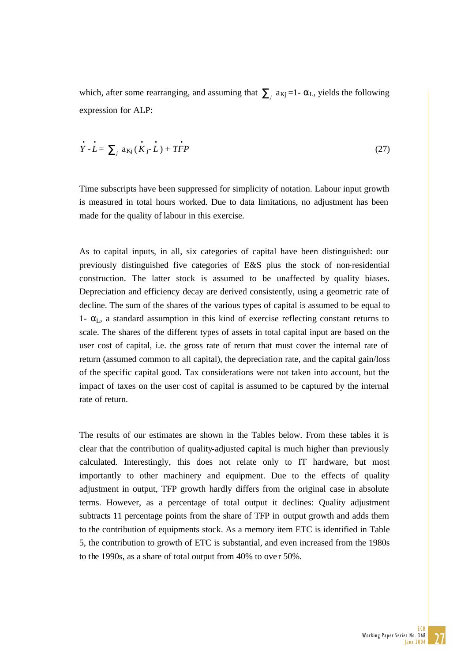which, after some rearranging, and assuming that  $\sum_i a_{kj} = 1 - \alpha_L$ , yields the following expression for ALP:

$$
\dot{Y} - \dot{L} = \sum_{j} a_{Kj} (\dot{K}_{j} - \dot{L}) + T\dot{F}P
$$
 (27)

Time subscripts have been suppressed for simplicity of notation. Labour input growth is measured in total hours worked. Due to data limitations, no adjustment has been made for the quality of labour in this exercise.

As to capital inputs, in all, six categories of capital have been distinguished: our previously distinguished five categories of E&S plus the stock of non-residential construction. The latter stock is assumed to be unaffected by quality biases. Depreciation and efficiency decay are derived consistently, using a geometric rate of decline. The sum of the shares of the various types of capital is assumed to be equal to 1-  $\alpha$ <sub>L</sub>, a standard assumption in this kind of exercise reflecting constant returns to scale. The shares of the different types of assets in total capital input are based on the user cost of capital, i.e. the gross rate of return that must cover the internal rate of return (assumed common to all capital), the depreciation rate, and the capital gain/loss of the specific capital good. Tax considerations were not taken into account, but the impact of taxes on the user cost of capital is assumed to be captured by the internal rate of return.

The results of our estimates are shown in the Tables below. From these tables it is clear that the contribution of quality-adjusted capital is much higher than previously calculated. Interestingly, this does not relate only to IT hardware, but most importantly to other machinery and equipment. Due to the effects of quality adjustment in output, TFP growth hardly differs from the original case in absolute terms. However, as a percentage of total output it declines: Quality adjustment subtracts 11 percentage points from the share of TFP in output growth and adds them to the contribution of equipments stock. As a memory item ETC is identified in Table 5, the contribution to growth of ETC is substantial, and even increased from the 1980s to the 1990s, as a share of total output from 40% to over 50%.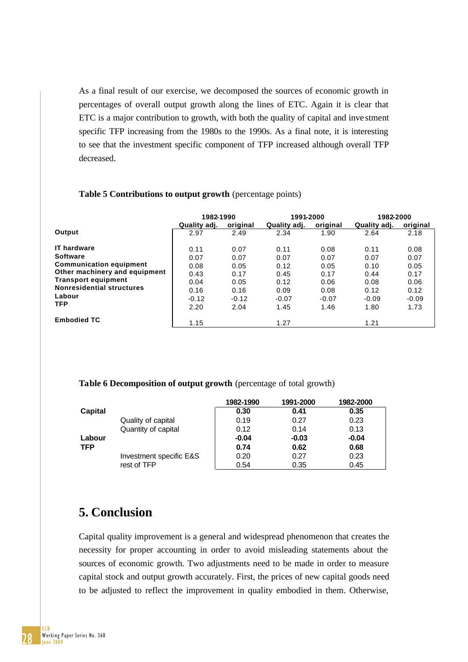As a final result of our exercise, we decomposed the sources of economic growth in percentages of overall output growth along the lines of ETC. Again it is clear that ETC is a major contribution to growth, with both the quality of capital and inve stment specific TFP increasing from the 1980s to the 1990s. As a final note, it is interesting to see that the investment specific component of TFP increased although overall TFP decreased.

### **1982-1990 1991-2000 1982-2000 Quality adj. original Quality adj. original Quality adj. original Output** 2.97 2.49 2.34 1.90 2.64 2.18 **IT hardware** 0.11 0.07 0.11 0.08 0.11 0.08 **Software** 0.07 0.07 0.07 0.07 0.07 0.07 **Communication equipment** 0.08 0.05 0.12 0.05 0.10 0.05 **Other machinery and equipment**  $\begin{array}{cccc} 0.43 & 0.17 & 0.45 & 0.17 & 0.44 & 0.17 \end{array}$ **Transport equipment**  $\begin{array}{ccccccc}\n & 0.04 & & 0.05 & & 0.12 & & 0.08 & & 0.06 \\
& & 0.04 & & 0.05 & & 0.12 & & 0.06 & & 0.08 & & 0.06\n\end{array}$ **Nonresidential structures**  $\begin{bmatrix} 0.04 & 0.05 & 0.12 & 0.08 & 0.02 & 0.02 \\ 0.16 & 0.16 & 0.09 & 0.08 & 0.12 & 0.12 \\ 0.08 & 0.02 & 0.02 & 0.02 & 0.02 \end{bmatrix}$ **Labour** -0.12 -0.12 -0.07 -0.07 -0.09 -0.09 **TFP** 2.20 2.04 1.45 1.46 1.80 1.73 **Embodied TC** 1.15 1.27 1.21 1.21

## **Table 5 Contributions to output growth** (percentage points)

### **Table 6 Decomposition of output growth** (percentage of total growth)

|            |                         | 1982-1990 | 1991-2000 | 1982-2000 |
|------------|-------------------------|-----------|-----------|-----------|
| Capital    |                         | 0.30      | 0.41      | 0.35      |
|            | Quality of capital      | 0.19      | 0.27      | 0.23      |
|            | Quantity of capital     | 0.12      | 0.14      | 0.13      |
| Labour     |                         | $-0.04$   | $-0.03$   | $-0.04$   |
| <b>TFP</b> |                         | 0.74      | 0.62      | 0.68      |
|            | Investment specific E&S | 0.20      | 0.27      | 0.23      |
|            | rest of TFP             | 0.54      | 0.35      | 0.45      |

# **5. Conclusion**

Capital quality improvement is a general and widespread phenomenon that creates the necessity for proper accounting in order to avoid misleading statements about the sources of economic growth. Two adjustments need to be made in order to measure capital stock and output growth accurately. First, the prices of new capital goods need to be adjusted to reflect the improvement in quality embodied in them. Otherwise,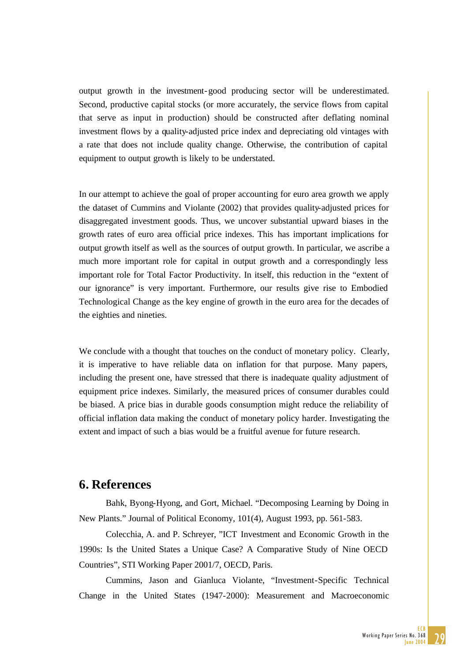output growth in the investment-good producing sector will be underestimated. Second, productive capital stocks (or more accurately, the service flows from capital that serve as input in production) should be constructed after deflating nominal investment flows by a quality-adjusted price index and depreciating old vintages with a rate that does not include quality change. Otherwise, the contribution of capital equipment to output growth is likely to be understated.

In our attempt to achieve the goal of proper accounting for euro area growth we apply the dataset of Cummins and Violante (2002) that provides quality-adjusted prices for disaggregated investment goods. Thus, we uncover substantial upward biases in the growth rates of euro area official price indexes. This has important implications for output growth itself as well as the sources of output growth. In particular, we ascribe a much more important role for capital in output growth and a correspondingly less important role for Total Factor Productivity. In itself, this reduction in the "extent of our ignorance" is very important. Furthermore, our results give rise to Embodied Technological Change as the key engine of growth in the euro area for the decades of the eighties and nineties.

We conclude with a thought that touches on the conduct of monetary policy. Clearly, it is imperative to have reliable data on inflation for that purpose. Many papers, including the present one, have stressed that there is inadequate quality adjustment of equipment price indexes. Similarly, the measured prices of consumer durables could be biased. A price bias in durable goods consumption might reduce the reliability of official inflation data making the conduct of monetary policy harder. Investigating the extent and impact of such a bias would be a fruitful avenue for future research.

# **6. References**

Bahk, Byong-Hyong, and Gort, Michael. "Decomposing Learning by Doing in New Plants." Journal of Political Economy, 101(4), August 1993, pp. 561-583.

Colecchia, A. and P. Schreyer, "ICT Investment and Economic Growth in the 1990s: Is the United States a Unique Case? A Comparative Study of Nine OECD Countries", STI Working Paper 2001/7, OECD, Paris.

Cummins, Jason and Gianluca Violante, "Investment-Specific Technical Change in the United States (1947-2000): Measurement and Macroeconomic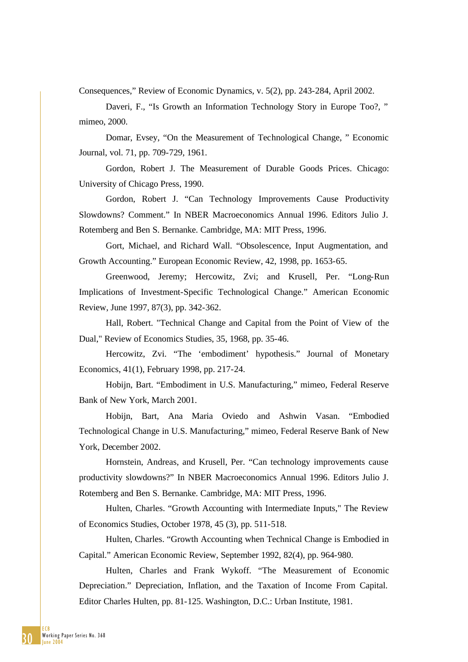Consequences," Review of Economic Dynamics, v. 5(2), pp. 243-284, April 2002.

Daveri, F., "Is Growth an Information Technology Story in Europe Too?, " mimeo, 2000.

Domar, Evsey, "On the Measurement of Technological Change, " Economic Journal, vol. 71, pp. 709-729, 1961.

Gordon, Robert J. The Measurement of Durable Goods Prices. Chicago: University of Chicago Press, 1990.

Gordon, Robert J. "Can Technology Improvements Cause Productivity Slowdowns? Comment." In NBER Macroeconomics Annual 1996. Editors Julio J. Rotemberg and Ben S. Bernanke. Cambridge, MA: MIT Press, 1996.

Gort, Michael, and Richard Wall. "Obsolescence, Input Augmentation, and Growth Accounting." European Economic Review, 42, 1998, pp. 1653-65.

Greenwood, Jeremy; Hercowitz, Zvi; and Krusell, Per. "Long-Run Implications of Investment-Specific Technological Change." American Economic Review, June 1997, 87(3), pp. 342-362.

Hall, Robert. "Technical Change and Capital from the Point of View of the Dual," Review of Economics Studies, 35, 1968, pp. 35-46.

Hercowitz, Zvi. "The 'embodiment' hypothesis." Journal of Monetary Economics, 41(1), February 1998, pp. 217-24.

Hobijn, Bart. "Embodiment in U.S. Manufacturing," mimeo, Federal Reserve Bank of New York, March 2001.

Hobijn, Bart, Ana Maria Oviedo and Ashwin Vasan. "Embodied Technological Change in U.S. Manufacturing," mimeo, Federal Reserve Bank of New York, December 2002.

Hornstein, Andreas, and Krusell, Per. "Can technology improvements cause productivity slowdowns?" In NBER Macroeconomics Annual 1996. Editors Julio J. Rotemberg and Ben S. Bernanke. Cambridge, MA: MIT Press, 1996.

Hulten, Charles. "Growth Accounting with Intermediate Inputs," The Review of Economics Studies, October 1978, 45 (3), pp. 511-518.

Hulten, Charles. "Growth Accounting when Technical Change is Embodied in Capital." American Economic Review, September 1992, 82(4), pp. 964-980.

Hulten, Charles and Frank Wykoff. "The Measurement of Economic Depreciation." Depreciation, Inflation, and the Taxation of Income From Capital. Editor Charles Hulten, pp. 81-125. Washington, D.C.: Urban Institute, 1981.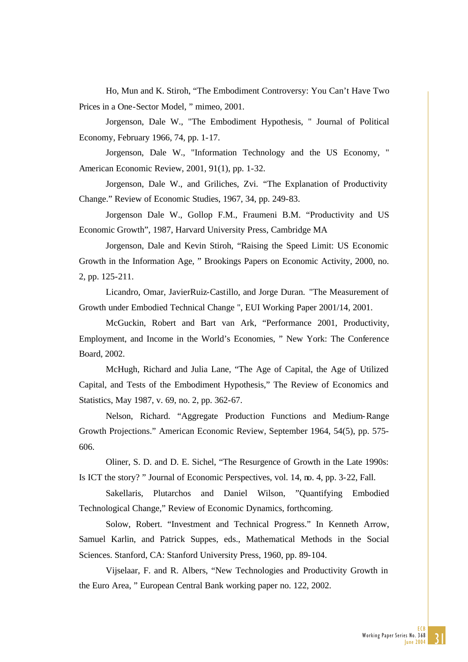Ho, Mun and K. Stiroh, "The Embodiment Controversy: You Can't Have Two Prices in a One-Sector Model, " mimeo, 2001.

Jorgenson, Dale W., "The Embodiment Hypothesis, " Journal of Political Economy, February 1966, 74, pp. 1-17.

Jorgenson, Dale W., "Information Technology and the US Economy, " American Economic Review, 2001, 91(1), pp. 1-32.

Jorgenson, Dale W., and Griliches, Zvi. "The Explanation of Productivity Change." Review of Economic Studies, 1967, 34, pp. 249-83.

Jorgenson Dale W., Gollop F.M., Fraumeni B.M. "Productivity and US Economic Growth", 1987, Harvard University Press, Cambridge MA

Jorgenson, Dale and Kevin Stiroh, "Raising the Speed Limit: US Economic Growth in the Information Age, " Brookings Papers on Economic Activity, 2000, no. 2, pp. 125-211.

Licandro, Omar, JavierRuiz-Castillo, and Jorge Duran. "The Measurement of Growth under Embodied Technical Change ", EUI Working Paper 2001/14, 2001.

McGuckin, Robert and Bart van Ark, "Performance 2001, Productivity, Employment, and Income in the World's Economies, " New York: The Conference Board, 2002.

McHugh, Richard and Julia Lane, "The Age of Capital, the Age of Utilized Capital, and Tests of the Embodiment Hypothesis," The Review of Economics and Statistics, May 1987, v. 69, no. 2, pp. 362-67.

Nelson, Richard. "Aggregate Production Functions and Medium-Range Growth Projections." American Economic Review, September 1964, 54(5), pp. 575- 606.

Oliner, S. D. and D. E. Sichel, "The Resurgence of Growth in the Late 1990s: Is ICT the story? " Journal of Economic Perspectives, vol. 14, no. 4, pp. 3-22, Fall.

Sakellaris, Plutarchos and Daniel Wilson, "Quantifying Embodied Technological Change," Review of Economic Dynamics, forthcoming.

Solow, Robert. "Investment and Technical Progress." In Kenneth Arrow, Samuel Karlin, and Patrick Suppes, eds., Mathematical Methods in the Social Sciences. Stanford, CA: Stanford University Press, 1960, pp. 89-104.

Vijselaar, F. and R. Albers, "New Technologies and Productivity Growth in the Euro Area, " European Central Bank working paper no. 122, 2002.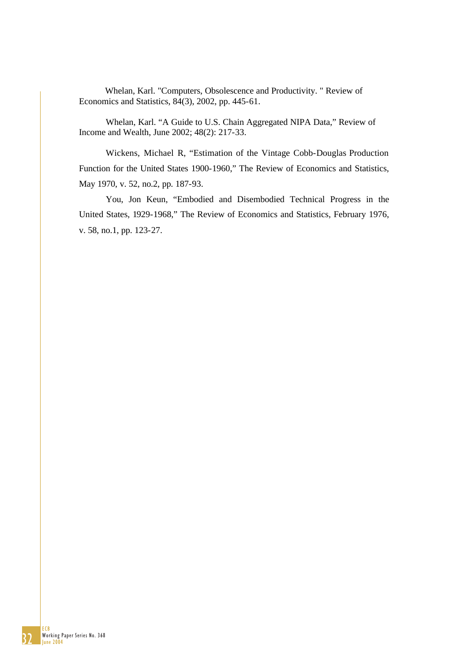Economics and Statistics, 84(3), 2002, pp. 445-61. Whelan, Karl. "Computers, Obsolescence and Productivity. " Review of

Whelan, Karl. "A Guide to U.S. Chain Aggregated NIPA Data," Review of Income and Wealth, June 2002; 48(2): 217-33.

Wickens, Michael R., "Estimation of the Vintage Cobb-Douglas Production Function for the United States 1900-1960," The Review of Economics and Statistics, May 1970, v. 52, no.2, pp. 187-93.

You, Jon Keun, "Embodied and Disembodied Technical Progress in the United States, 1929-1968," The Review of Economics and Statistics, February 1976, v. 58, no.1, pp. 123-27.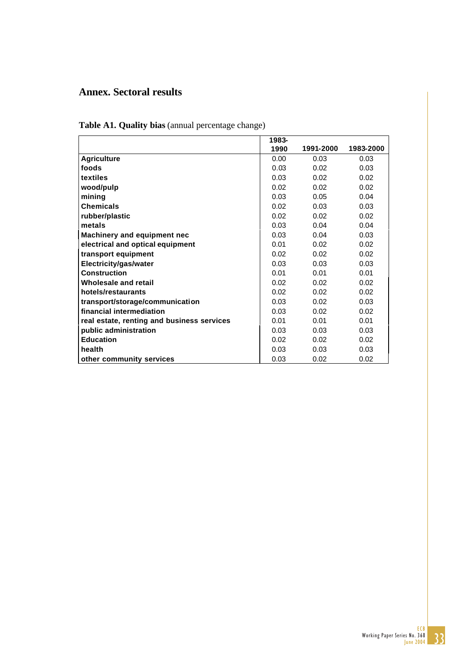# **Annex. Sectoral results**

|                                            | 1983- |           |           |
|--------------------------------------------|-------|-----------|-----------|
|                                            | 1990  | 1991-2000 | 1983-2000 |
| <b>Agriculture</b>                         | 0.00  | 0.03      | 0.03      |
| foods                                      | 0.03  | 0.02      | 0.03      |
| textiles                                   | 0.03  | 0.02      | 0.02      |
| wood/pulp                                  | 0.02  | 0.02      | 0.02      |
| mining                                     | 0.03  | 0.05      | 0.04      |
| <b>Chemicals</b>                           | 0.02  | 0.03      | 0.03      |
| rubber/plastic                             | 0.02  | 0.02      | 0.02      |
| metals                                     | 0.03  | 0.04      | 0.04      |
| Machinery and equipment nec                | 0.03  | 0.04      | 0.03      |
| electrical and optical equipment           | 0.01  | 0.02      | 0.02      |
| transport equipment                        | 0.02  | 0.02      | 0.02      |
| Electricity/gas/water                      | 0.03  | 0.03      | 0.03      |
| <b>Construction</b>                        | 0.01  | 0.01      | 0.01      |
| Wholesale and retail                       | 0.02  | 0.02      | 0.02      |
| hotels/restaurants                         | 0.02  | 0.02      | 0.02      |
| transport/storage/communication            | 0.03  | 0.02      | 0.03      |
| financial intermediation                   | 0.03  | 0.02      | 0.02      |
| real estate, renting and business services | 0.01  | 0.01      | 0.01      |
| public administration                      | 0.03  | 0.03      | 0.03      |
| <b>Education</b>                           | 0.02  | 0.02      | 0.02      |
| health                                     | 0.03  | 0.03      | 0.03      |
| other community services                   | 0.03  | 0.02      | 0.02      |

**Table A1. Quality bias** (annual percentage change)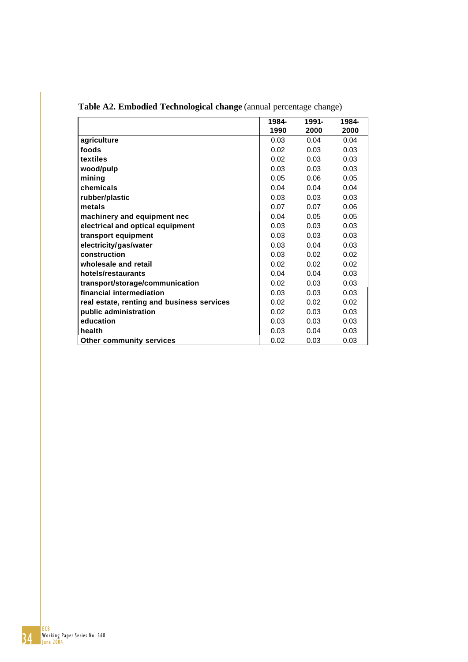|                                            | 1984- | 1991- | 1984- |
|--------------------------------------------|-------|-------|-------|
|                                            | 1990  | 2000  | 2000  |
| agriculture                                | 0.03  | 0.04  | 0.04  |
| foods                                      | 0.02  | 0.03  | 0.03  |
| textiles                                   | 0.02  | 0.03  | 0.03  |
| wood/pulp                                  | 0.03  | 0.03  | 0.03  |
| mining                                     | 0.05  | 0.06  | 0.05  |
| chemicals                                  | 0.04  | 0.04  | 0.04  |
| rubber/plastic                             | 0.03  | 0.03  | 0.03  |
| metals                                     | 0.07  | 0.07  | 0.06  |
| machinery and equipment nec                | 0.04  | 0.05  | 0.05  |
| electrical and optical equipment           | 0.03  | 0.03  | 0.03  |
| transport equipment                        | 0.03  | 0.03  | 0.03  |
| electricity/gas/water                      | 0.03  | 0.04  | 0.03  |
| construction                               | 0.03  | 0.02  | 0.02  |
| wholesale and retail                       | 0.02  | 0.02  | 0.02  |
| hotels/restaurants                         | 0.04  | 0.04  | 0.03  |
| transport/storage/communication            | 0.02  | 0.03  | 0.03  |
| financial intermediation                   | 0.03  | 0.03  | 0.03  |
| real estate, renting and business services | 0.02  | 0.02  | 0.02  |
| public administration                      | 0.02  | 0.03  | 0.03  |
| education                                  | 0.03  | 0.03  | 0.03  |
| health                                     | 0.03  | 0.04  | 0.03  |
| <b>Other community services</b>            | 0.02  | 0.03  | 0.03  |

**Table A2. Embodied Technological change** (annual percentage change)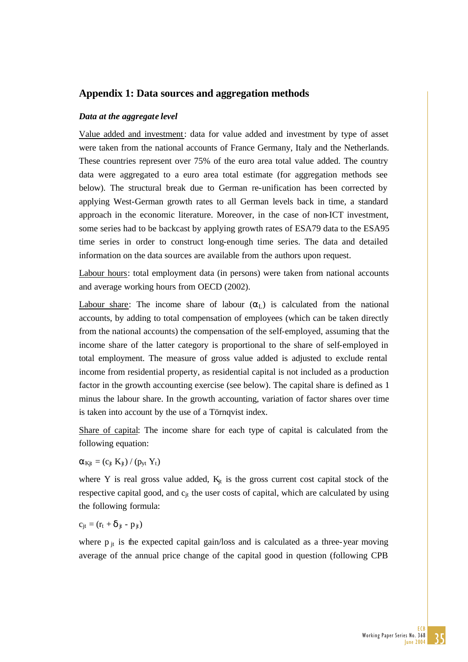# **Appendix 1: Data sources and aggregation methods**

#### *Data at the aggregate level*

Value added and investment: data for value added and investment by type of asset were taken from the national accounts of France Germany, Italy and the Netherlands. These countries represent over 75% of the euro area total value added. The country data were aggregated to a euro area total estimate (for aggregation methods see below). The structural break due to German re-unification has been corrected by applying West-German growth rates to all German levels back in time, a standard approach in the economic literature. Moreover, in the case of non-ICT investment, some series had to be backcast by applying growth rates of ESA79 data to the ESA95 time series in order to construct long-enough time series. The data and detailed information on the data sources are available from the authors upon request.

Labour hours: total employment data (in persons) were taken from national accounts and average working hours from OECD (2002).

Labour share: The income share of labour  $(\alpha_L)$  is calculated from the national accounts, by adding to total compensation of employees (which can be taken directly from the national accounts) the compensation of the self-employed, assuming that the income share of the latter category is proportional to the share of self-employed in total employment. The measure of gross value added is adjusted to exclude rental income from residential property, as residential capital is not included as a production factor in the growth accounting exercise (see below). The capital share is defined as 1 minus the labour share. In the growth accounting, variation of factor shares over time is taken into account by the use of a Törnqvist index.

Share of capital: The income share for each type of capital is calculated from the following equation:

$$
\alpha_{Kjt} = (c_{jt} \ K_{jt}) \mathbin{/} (p_{yt} \ Y_t)
$$

where Y is real gross value added,  $K_{it}$  is the gross current cost capital stock of the respective capital good, and c<sub>it</sub> the user costs of capital, which are calculated by using the following formula:

$$
c_{jt} = (r_t + \delta_{jt} - p_{jt})
$$

where  $p_{it}$  is the expected capital gain/loss and is calculated as a three-year moving average of the annual price change of the capital good in question (following CPB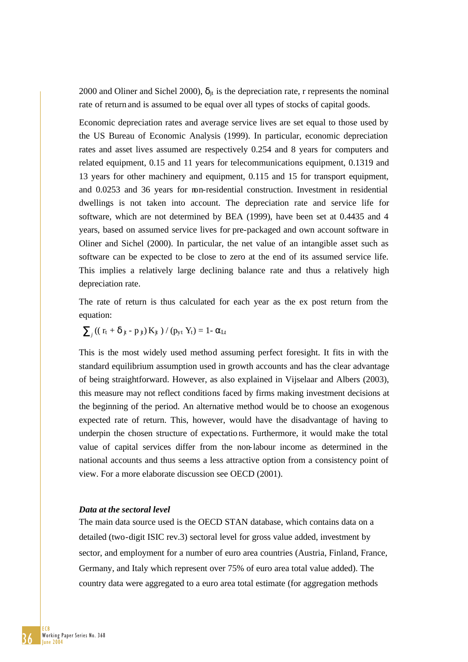2000 and Oliner and Sichel 2000),  $\delta_{it}$  is the depreciation rate, r represents the nominal rate of return and is assumed to be equal over all types of stocks of capital goods.

Economic depreciation rates and average service lives are set equal to those used by the US Bureau of Economic Analysis (1999). In particular, economic depreciation rates and asset lives assumed are respectively 0.254 and 8 years for computers and related equipment, 0.15 and 11 years for telecommunications equipment, 0.1319 and 13 years for other machinery and equipment, 0.115 and 15 for transport equipment, and 0.0253 and 36 years for non-residential construction. Investment in residential dwellings is not taken into account. The depreciation rate and service life for software, which are not determined by BEA (1999), have been set at 0.4435 and 4 years, based on assumed service lives for pre-packaged and own account software in Oliner and Sichel (2000). In particular, the net value of an intangible asset such as software can be expected to be close to zero at the end of its assumed service life. This implies a relatively large declining balance rate and thus a relatively high depreciation rate.

The rate of return is thus calculated for each year as the ex post return from the equation:

$$
\sum\nolimits_j \left( \left( \; r_t \; + \; \delta \; {_{jt}} \; - \; p \; {_{jt}} \right) K_{jt} \; \right) \; / \; (p_{y t} \; Y_t) = 1 \text{-} \; \alpha_{Lt}
$$

This is the most widely used method assuming perfect foresight. It fits in with the standard equilibrium assumption used in growth accounts and has the clear advantage of being straightforward. However, as also explained in Vijselaar and Albers (2003), this measure may not reflect conditions faced by firms making investment decisions at the beginning of the period. An alternative method would be to choose an exogenous expected rate of return. This, however, would have the disadvantage of having to underpin the chosen structure of expectations. Furthermore, it would make the total value of capital services differ from the non-labour income as determined in the national accounts and thus seems a less attractive option from a consistency point of view. For a more elaborate discussion see OECD (2001).

#### *Data at the sectoral level*

The main data source used is the OECD STAN database, which contains data on a detailed (two-digit ISIC rev.3) sectoral level for gross value added, investment by sector, and employment for a number of euro area countries (Austria, Finland, France, Germany, and Italy which represent over 75% of euro area total value added). The country data were aggregated to a euro area total estimate (for aggregation methods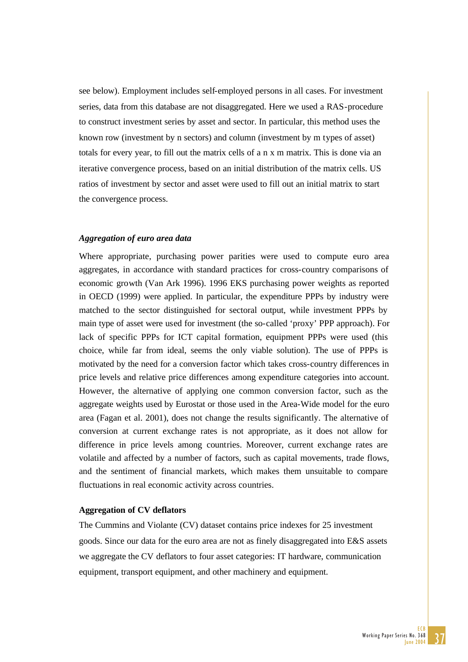see below). Employment includes self-employed persons in all cases. For investment series, data from this database are not disaggregated. Here we used a RAS-procedure to construct investment series by asset and sector. In particular, this method uses the known row (investment by n sectors) and column (investment by m types of asset) totals for every year, to fill out the matrix cells of a n x m matrix. This is done via an iterative convergence process, based on an initial distribution of the matrix cells. US ratios of investment by sector and asset were used to fill out an initial matrix to start the convergence process.

#### *Aggregation of euro area data*

Where appropriate, purchasing power parities were used to compute euro area aggregates, in accordance with standard practices for cross-country comparisons of economic growth (Van Ark 1996). 1996 EKS purchasing power weights as reported in OECD (1999) were applied. In particular, the expenditure PPPs by industry were matched to the sector distinguished for sectoral output, while investment PPPs by main type of asset were used for investment (the so-called 'proxy' PPP approach). For lack of specific PPPs for ICT capital formation, equipment PPPs were used (this choice, while far from ideal, seems the only viable solution). The use of PPPs is motivated by the need for a conversion factor which takes cross-country differences in price levels and relative price differences among expenditure categories into account. However, the alternative of applying one common conversion factor, such as the aggregate weights used by Eurostat or those used in the Area-Wide model for the euro area (Fagan et al. 2001), does not change the results significantly. The alternative of conversion at current exchange rates is not appropriate, as it does not allow for difference in price levels among countries. Moreover, current exchange rates are volatile and affected by a number of factors, such as capital movements, trade flows, and the sentiment of financial markets, which makes them unsuitable to compare fluctuations in real economic activity across countries.

#### **Aggregation of CV deflators**

The Cummins and Violante (CV) dataset contains price indexes for 25 investment goods. Since our data for the euro area are not as finely disaggregated into E&S assets we aggregate the CV deflators to four asset categories: IT hardware, communication equipment, transport equipment, and other machinery and equipment.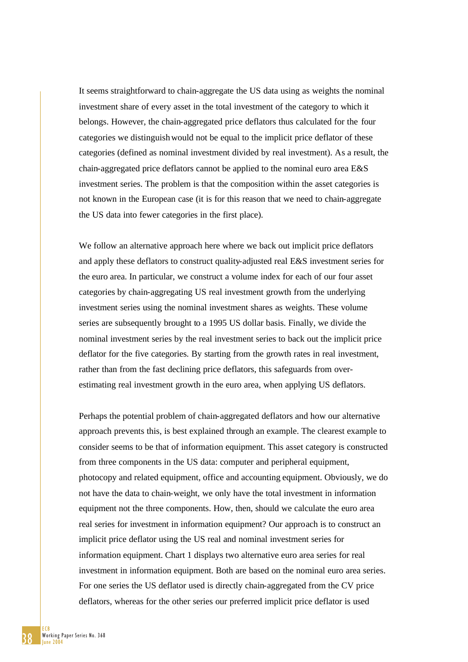It seems straightforward to chain-aggregate the US data using as weights the nominal investment share of every asset in the total investment of the category to which it belongs. However, the chain-aggregated price deflators thus calculated for the four categories we distinguishwould not be equal to the implicit price deflator of these categories (defined as nominal investment divided by real investment). As a result, the chain-aggregated price deflators cannot be applied to the nominal euro area E&S investment series. The problem is that the composition within the asset categories is not known in the European case (it is for this reason that we need to chain-aggregate the US data into fewer categories in the first place).

We follow an alternative approach here where we back out implicit price deflators and apply these deflators to construct quality-adjusted real E&S investment series for the euro area. In particular, we construct a volume index for each of our four asset categories by chain-aggregating US real investment growth from the underlying investment series using the nominal investment shares as weights. These volume series are subsequently brought to a 1995 US dollar basis. Finally, we divide the nominal investment series by the real investment series to back out the implicit price deflator for the five categories. By starting from the growth rates in real investment, rather than from the fast declining price deflators, this safeguards from overestimating real investment growth in the euro area, when applying US deflators.

Perhaps the potential problem of chain-aggregated deflators and how our alternative approach prevents this, is best explained through an example. The clearest example to consider seems to be that of information equipment. This asset category is constructed from three components in the US data: computer and peripheral equipment, photocopy and related equipment, office and accounting equipment. Obviously, we do not have the data to chain-weight, we only have the total investment in information equipment not the three components. How, then, should we calculate the euro area real series for investment in information equipment? Our approach is to construct an implicit price deflator using the US real and nominal investment series for information equipment. Chart 1 displays two alternative euro area series for real investment in information equipment. Both are based on the nominal euro area series. For one series the US deflator used is directly chain-aggregated from the CV price deflators, whereas for the other series our preferred implicit price deflator is used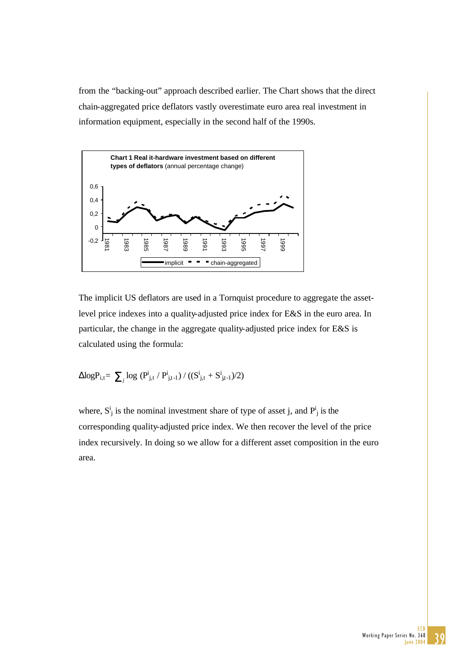from the "backing-out" approach described earlier. The Chart shows that the direct chain-aggregated price deflators vastly overestimate euro area real investment in information equipment, especially in the second half of the 1990s.



The implicit US deflators are used in a Tornquist procedure to aggregate the assetlevel price indexes into a quality-adjusted price index for E&S in the euro area. In particular, the change in the aggregate quality-adjusted price index for E&S is calculated using the formula:

$$
\Delta log P_{i,t} \hspace{-0.05cm}=\hspace{-0.05cm} \sum\nolimits_j log\ (P^i_{j,t} \mathbin{/} P^i_{j,t\text{-}1}) \mathbin{/} ((S^i_{j,t} + S^i_{j,t\text{-}1})\text{/}2)
$$

where,  $S^i_j$  is the nominal investment share of type of asset j, and  $P^i_j$  is the corresponding quality-adjusted price index. We then recover the level of the price index recursively. In doing so we allow for a different asset composition in the euro area.

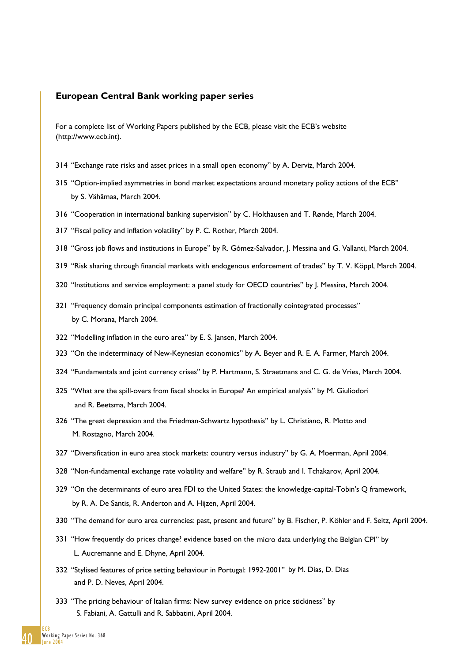#### **European Central Bank working paper series**

For a complete list of Working Papers published by the ECB, please visit the ECB's website (http://www.ecb.int).

- 314 "Exchange rate risks and asset prices in a small open economy" by A. Derviz, March 2004.
- 315 "Option-implied asymmetries in bond market expectations around monetary policy actions of the ECB" by S. Vähämaa, March 2004.
- 316 "Cooperation in international banking supervision" by C. Holthausen and T. Rønde, March 2004.
- 317 "Fiscal policy and inflation volatility" by P. C. Rother, March 2004.
- 318 "Gross job flows and institutions in Europe" by R. Gómez-Salvador, J. Messina and G. Vallanti, March 2004.
- 319 "Risk sharing through financial markets with endogenous enforcement of trades" by T. V. Köppl, March 2004.
- 320 "Institutions and service employment: a panel study for OECD countries" by J. Messina, March 2004.
- 321 "Frequency domain principal components estimation of fractionally cointegrated processes" by C. Morana, March 2004.
- 322 "Modelling inflation in the euro area" by E. S. Jansen, March 2004.
- 323 "On the indeterminacy of New-Keynesian economics" by A. Beyer and R. E. A. Farmer, March 2004.
- 324 "Fundamentals and joint currency crises" by P. Hartmann, S. Straetmans and C. G. de Vries, March 2004.
- 325 "What are the spill-overs from fiscal shocks in Europe? An empirical analysis" by M. Giuliodori and R. Beetsma, March 2004.
- 326 "The great depression and the Friedman-Schwartz hypothesis" by L. Christiano, R. Motto and M. Rostagno, March 2004.
- 327 "Diversification in euro area stock markets: country versus industry" by G. A. Moerman, April 2004.
- 328 "Non-fundamental exchange rate volatility and welfare" by R. Straub and I. Tchakarov, April 2004.
- 329 "On the determinants of euro area FDI to the United States: the knowledge-capital-Tobin's Q framework, by R. A. De Santis, R. Anderton and A. Hijzen, April 2004.
- 330 "The demand for euro area currencies: past, present and future" by B. Fischer, P. Köhler and F. Seitz, April 2004.
- 331 "How frequently do prices change? evidence based on the micro data underlying the Belgian CPI" by L. Aucremanne and E. Dhyne, April 2004.
- 332 "Stylised features of price setting behaviour in Portugal: 1992-2001" by M. Dias, D. Dias and P. D. Neves, April 2004.
- 333 "The pricing behaviour of Italian firms: New survey evidence on price stickiness" by S. Fabiani, A. Gattulli and R. Sabbatini, April 2004.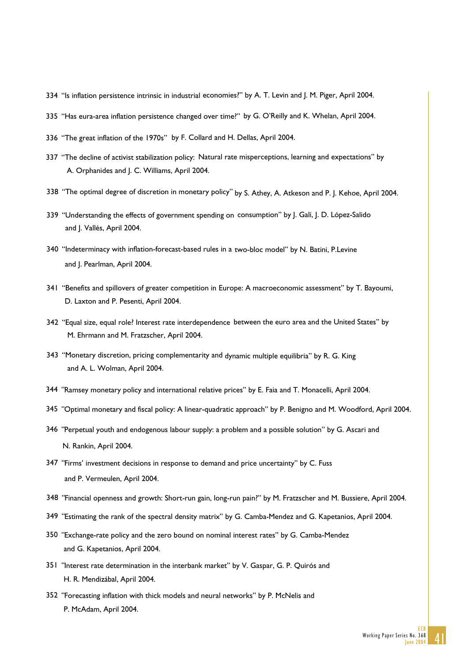- 334 "Is inflation persistence intrinsic in industrial economies?" by A. T. Levin and J. M. Piger, April 2004.
- 335 "Has eura-area inflation persistence changed over time?" by G. O'Reilly and K. Whelan, April 2004.
- 336 "The great inflation of the 1970s" by F. Collard and H. Dellas, April 2004.
- 337 "The decline of activist stabilization policy: Natural rate misperceptions, learning and expectations" by A. Orphanides and J. C. Williams, April 2004.
- 338 "The optimal degree of discretion in monetary policy" by S. Athey, A. Atkeson and P. J. Kehoe, April 2004.
- 339 "Understanding the effects of government spending on consumption" by J. Galí, J. D. López-Salido and J. Vallés, April 2004.
- 340 "Indeterminacy with inflation-forecast-based rules in a two-bloc model" by N. Batini, P.Levine and J. Pearlman, April 2004.
- 341 "Benefits and spillovers of greater competition in Europe: A macroeconomic assessment" by T. Bayoumi, D. Laxton and P. Pesenti, April 2004.
- 342 "Equal size, equal role? Interest rate interdependence between the euro area and the United States" by M. Ehrmann and M. Fratzscher, April 2004.
- 343 "Monetary discretion, pricing complementarity and dynamic multiple equilibria" by R. G. King and A. L. Wolman, April 2004.
- 344 "Ramsey monetary policy and international relative prices" by E. Faia and T. Monacelli, April 2004.
- 345 "Optimal monetary and fiscal policy: A linear-quadratic approach" by P. Benigno and M. Woodford, April 2004.
- 346 "Perpetual youth and endogenous labour supply: a problem and a possible solution" by G. Ascari and N. Rankin, April 2004.
- 347 "Firms' investment decisions in response to demand and price uncertainty" by C. Fuss and P. Vermeulen, April 2004.
- 348 "Financial openness and growth: Short-run gain, long-run pain?" by M. Fratzscher and M. Bussiere, April 2004.
- 349 "Estimating the rank of the spectral density matrix" by G. Camba-Mendez and G. Kapetanios, April 2004.
- 350 "Exchange-rate policy and the zero bound on nominal interest rates" by G. Camba-Mendez and G. Kapetanios, April 2004.
- 351 "Interest rate determination in the interbank market" by V. Gaspar, G. P. Quirós and H. R. Mendizábal, April 2004.
- 352 "Forecasting inflation with thick models and neural networks" by P. McNelis and P. McAdam, April 2004.